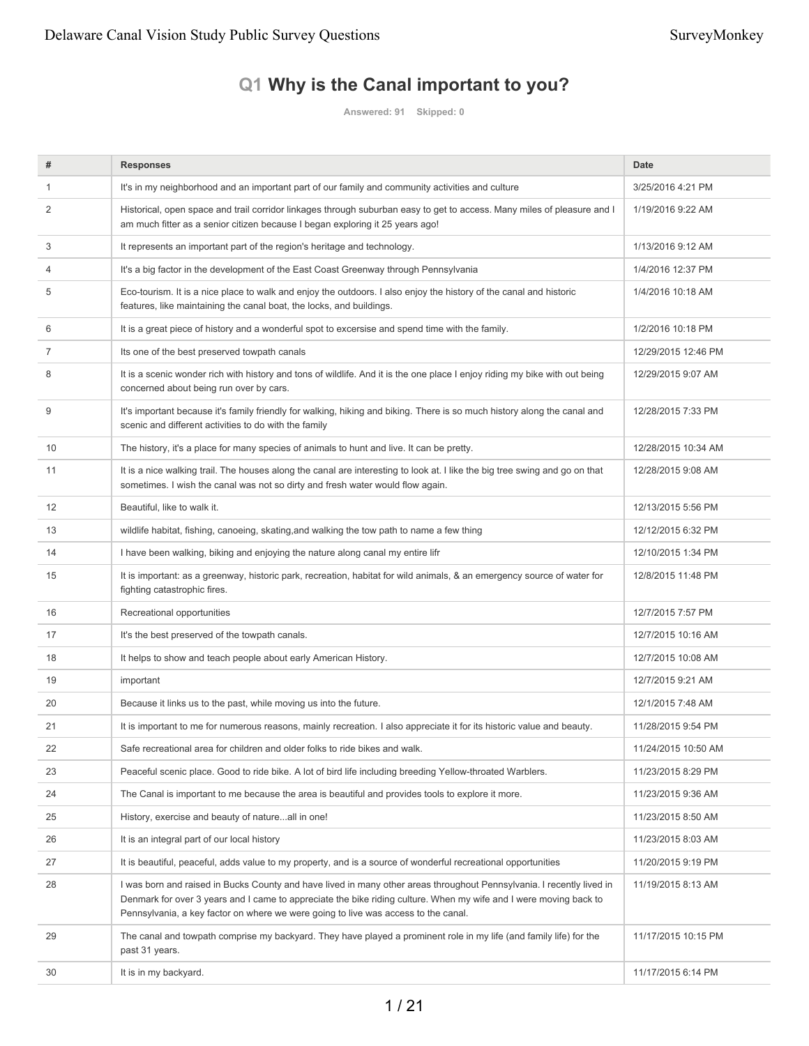# **Q1 Why is the Canal important to you?**

**Answered: 91 Skipped: 0**

| #  | <b>Responses</b>                                                                                                                                                                                                                                                                                                                 | <b>Date</b>         |
|----|----------------------------------------------------------------------------------------------------------------------------------------------------------------------------------------------------------------------------------------------------------------------------------------------------------------------------------|---------------------|
| 1  | It's in my neighborhood and an important part of our family and community activities and culture                                                                                                                                                                                                                                 | 3/25/2016 4:21 PM   |
| 2  | Historical, open space and trail corridor linkages through suburban easy to get to access. Many miles of pleasure and I<br>am much fitter as a senior citizen because I began exploring it 25 years ago!                                                                                                                         | 1/19/2016 9:22 AM   |
| 3  | It represents an important part of the region's heritage and technology.                                                                                                                                                                                                                                                         | 1/13/2016 9:12 AM   |
| 4  | It's a big factor in the development of the East Coast Greenway through Pennsylvania                                                                                                                                                                                                                                             | 1/4/2016 12:37 PM   |
| 5  | Eco-tourism. It is a nice place to walk and enjoy the outdoors. I also enjoy the history of the canal and historic<br>features, like maintaining the canal boat, the locks, and buildings.                                                                                                                                       | 1/4/2016 10:18 AM   |
| 6  | It is a great piece of history and a wonderful spot to excersise and spend time with the family.                                                                                                                                                                                                                                 | 1/2/2016 10:18 PM   |
| 7  | Its one of the best preserved towpath canals                                                                                                                                                                                                                                                                                     | 12/29/2015 12:46 PM |
| 8  | It is a scenic wonder rich with history and tons of wildlife. And it is the one place I enjoy riding my bike with out being<br>concerned about being run over by cars.                                                                                                                                                           | 12/29/2015 9:07 AM  |
| 9  | It's important because it's family friendly for walking, hiking and biking. There is so much history along the canal and<br>scenic and different activities to do with the family                                                                                                                                                | 12/28/2015 7:33 PM  |
| 10 | The history, it's a place for many species of animals to hunt and live. It can be pretty.                                                                                                                                                                                                                                        | 12/28/2015 10:34 AM |
| 11 | It is a nice walking trail. The houses along the canal are interesting to look at. I like the big tree swing and go on that<br>sometimes. I wish the canal was not so dirty and fresh water would flow again.                                                                                                                    | 12/28/2015 9:08 AM  |
| 12 | Beautiful, like to walk it.                                                                                                                                                                                                                                                                                                      | 12/13/2015 5:56 PM  |
| 13 | wildlife habitat, fishing, canoeing, skating, and walking the tow path to name a few thing                                                                                                                                                                                                                                       | 12/12/2015 6:32 PM  |
| 14 | I have been walking, biking and enjoying the nature along canal my entire lifr                                                                                                                                                                                                                                                   | 12/10/2015 1:34 PM  |
| 15 | It is important: as a greenway, historic park, recreation, habitat for wild animals, & an emergency source of water for<br>fighting catastrophic fires.                                                                                                                                                                          | 12/8/2015 11:48 PM  |
| 16 | Recreational opportunities                                                                                                                                                                                                                                                                                                       | 12/7/2015 7:57 PM   |
| 17 | It's the best preserved of the towpath canals.                                                                                                                                                                                                                                                                                   | 12/7/2015 10:16 AM  |
| 18 | It helps to show and teach people about early American History.                                                                                                                                                                                                                                                                  | 12/7/2015 10:08 AM  |
| 19 | important                                                                                                                                                                                                                                                                                                                        | 12/7/2015 9:21 AM   |
| 20 | Because it links us to the past, while moving us into the future.                                                                                                                                                                                                                                                                | 12/1/2015 7:48 AM   |
| 21 | It is important to me for numerous reasons, mainly recreation. I also appreciate it for its historic value and beauty.                                                                                                                                                                                                           | 11/28/2015 9:54 PM  |
| 22 | Safe recreational area for children and older folks to ride bikes and walk.                                                                                                                                                                                                                                                      | 11/24/2015 10:50 AM |
| 23 | Peaceful scenic place. Good to ride bike. A lot of bird life including breeding Yellow-throated Warblers.                                                                                                                                                                                                                        | 11/23/2015 8:29 PM  |
| 24 | The Canal is important to me because the area is beautiful and provides tools to explore it more.                                                                                                                                                                                                                                | 11/23/2015 9:36 AM  |
| 25 | History, exercise and beauty of natureall in one!                                                                                                                                                                                                                                                                                | 11/23/2015 8:50 AM  |
| 26 | It is an integral part of our local history                                                                                                                                                                                                                                                                                      | 11/23/2015 8:03 AM  |
| 27 | It is beautiful, peaceful, adds value to my property, and is a source of wonderful recreational opportunities                                                                                                                                                                                                                    | 11/20/2015 9:19 PM  |
| 28 | I was born and raised in Bucks County and have lived in many other areas throughout Pennsylvania. I recently lived in<br>Denmark for over 3 years and I came to appreciate the bike riding culture. When my wife and I were moving back to<br>Pennsylvania, a key factor on where we were going to live was access to the canal. | 11/19/2015 8:13 AM  |
| 29 | The canal and towpath comprise my backyard. They have played a prominent role in my life (and family life) for the<br>past 31 years.                                                                                                                                                                                             | 11/17/2015 10:15 PM |
| 30 | It is in my backyard.                                                                                                                                                                                                                                                                                                            | 11/17/2015 6:14 PM  |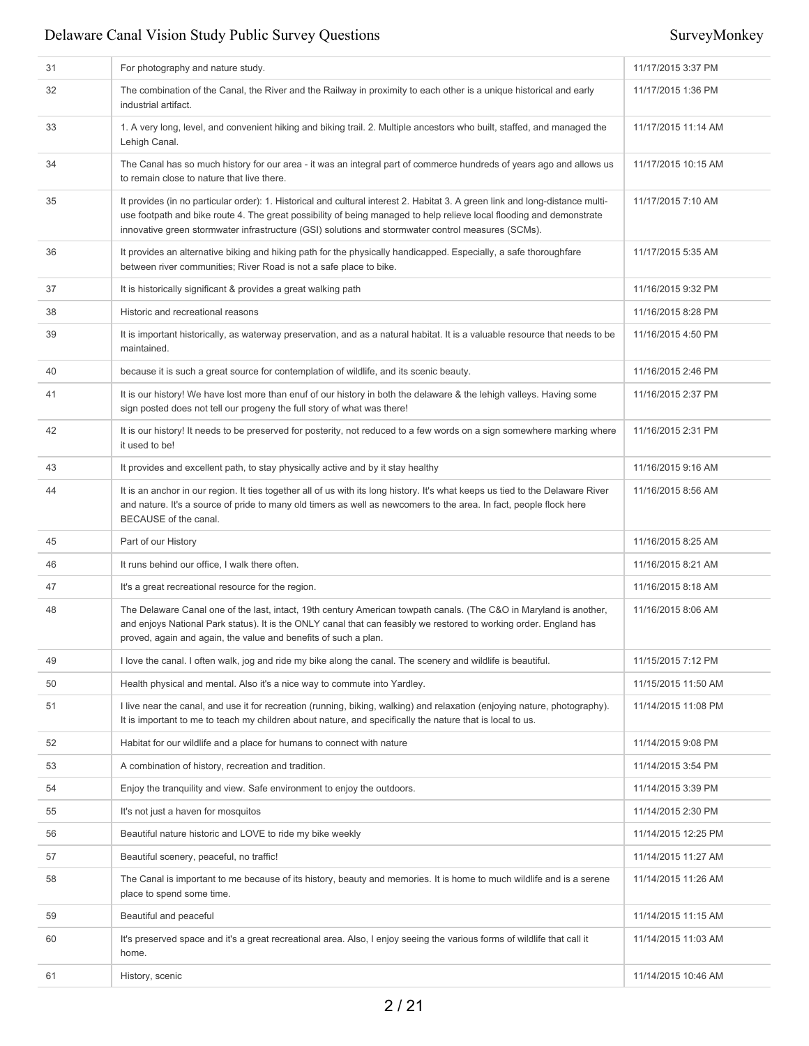| 31 | For photography and nature study.                                                                                                                                                                                                                                                                                                                           | 11/17/2015 3:37 PM  |
|----|-------------------------------------------------------------------------------------------------------------------------------------------------------------------------------------------------------------------------------------------------------------------------------------------------------------------------------------------------------------|---------------------|
| 32 | The combination of the Canal, the River and the Railway in proximity to each other is a unique historical and early<br>industrial artifact.                                                                                                                                                                                                                 | 11/17/2015 1:36 PM  |
| 33 | 1. A very long, level, and convenient hiking and biking trail. 2. Multiple ancestors who built, staffed, and managed the<br>Lehigh Canal.                                                                                                                                                                                                                   | 11/17/2015 11:14 AM |
| 34 | The Canal has so much history for our area - it was an integral part of commerce hundreds of years ago and allows us<br>to remain close to nature that live there.                                                                                                                                                                                          | 11/17/2015 10:15 AM |
| 35 | It provides (in no particular order): 1. Historical and cultural interest 2. Habitat 3. A green link and long-distance multi-<br>use footpath and bike route 4. The great possibility of being managed to help relieve local flooding and demonstrate<br>innovative green stormwater infrastructure (GSI) solutions and stormwater control measures (SCMs). | 11/17/2015 7:10 AM  |
| 36 | It provides an alternative biking and hiking path for the physically handicapped. Especially, a safe thoroughfare<br>between river communities; River Road is not a safe place to bike.                                                                                                                                                                     | 11/17/2015 5:35 AM  |
| 37 | It is historically significant & provides a great walking path                                                                                                                                                                                                                                                                                              | 11/16/2015 9:32 PM  |
| 38 | Historic and recreational reasons                                                                                                                                                                                                                                                                                                                           | 11/16/2015 8:28 PM  |
| 39 | It is important historically, as waterway preservation, and as a natural habitat. It is a valuable resource that needs to be<br>maintained.                                                                                                                                                                                                                 | 11/16/2015 4:50 PM  |
| 40 | because it is such a great source for contemplation of wildlife, and its scenic beauty.                                                                                                                                                                                                                                                                     | 11/16/2015 2:46 PM  |
| 41 | It is our history! We have lost more than enuf of our history in both the delaware & the lehigh valleys. Having some<br>sign posted does not tell our progeny the full story of what was there!                                                                                                                                                             | 11/16/2015 2:37 PM  |
| 42 | It is our history! It needs to be preserved for posterity, not reduced to a few words on a sign somewhere marking where<br>it used to be!                                                                                                                                                                                                                   | 11/16/2015 2:31 PM  |
| 43 | It provides and excellent path, to stay physically active and by it stay healthy                                                                                                                                                                                                                                                                            | 11/16/2015 9:16 AM  |
| 44 | It is an anchor in our region. It ties together all of us with its long history. It's what keeps us tied to the Delaware River<br>and nature. It's a source of pride to many old timers as well as newcomers to the area. In fact, people flock here<br>BECAUSE of the canal.                                                                               | 11/16/2015 8:56 AM  |
| 45 | Part of our History                                                                                                                                                                                                                                                                                                                                         | 11/16/2015 8:25 AM  |
| 46 | It runs behind our office, I walk there often.                                                                                                                                                                                                                                                                                                              | 11/16/2015 8:21 AM  |
| 47 | It's a great recreational resource for the region.                                                                                                                                                                                                                                                                                                          | 11/16/2015 8:18 AM  |
| 48 | The Delaware Canal one of the last, intact, 19th century American towpath canals. (The C&O in Maryland is another,<br>and enjoys National Park status). It is the ONLY canal that can feasibly we restored to working order. England has<br>proved, again and again, the value and benefits of such a plan.                                                 | 11/16/2015 8:06 AM  |
| 49 | I love the canal. I often walk, jog and ride my bike along the canal. The scenery and wildlife is beautiful.                                                                                                                                                                                                                                                | 11/15/2015 7:12 PM  |
| 50 | Health physical and mental. Also it's a nice way to commute into Yardley.                                                                                                                                                                                                                                                                                   | 11/15/2015 11:50 AM |
| 51 | I live near the canal, and use it for recreation (running, biking, walking) and relaxation (enjoying nature, photography).<br>It is important to me to teach my children about nature, and specifically the nature that is local to us.                                                                                                                     | 11/14/2015 11:08 PM |
| 52 | Habitat for our wildlife and a place for humans to connect with nature                                                                                                                                                                                                                                                                                      | 11/14/2015 9:08 PM  |
| 53 | A combination of history, recreation and tradition.                                                                                                                                                                                                                                                                                                         | 11/14/2015 3:54 PM  |
| 54 | Enjoy the tranguility and view. Safe environment to enjoy the outdoors.                                                                                                                                                                                                                                                                                     | 11/14/2015 3:39 PM  |
| 55 | It's not just a haven for mosquitos                                                                                                                                                                                                                                                                                                                         | 11/14/2015 2:30 PM  |
| 56 | Beautiful nature historic and LOVE to ride my bike weekly                                                                                                                                                                                                                                                                                                   | 11/14/2015 12:25 PM |
| 57 | Beautiful scenery, peaceful, no traffic!                                                                                                                                                                                                                                                                                                                    | 11/14/2015 11:27 AM |
| 58 | The Canal is important to me because of its history, beauty and memories. It is home to much wildlife and is a serene<br>place to spend some time.                                                                                                                                                                                                          | 11/14/2015 11:26 AM |
| 59 | Beautiful and peaceful                                                                                                                                                                                                                                                                                                                                      | 11/14/2015 11:15 AM |
| 60 | It's preserved space and it's a great recreational area. Also, I enjoy seeing the various forms of wildlife that call it<br>home.                                                                                                                                                                                                                           | 11/14/2015 11:03 AM |
| 61 | History, scenic                                                                                                                                                                                                                                                                                                                                             | 11/14/2015 10:46 AM |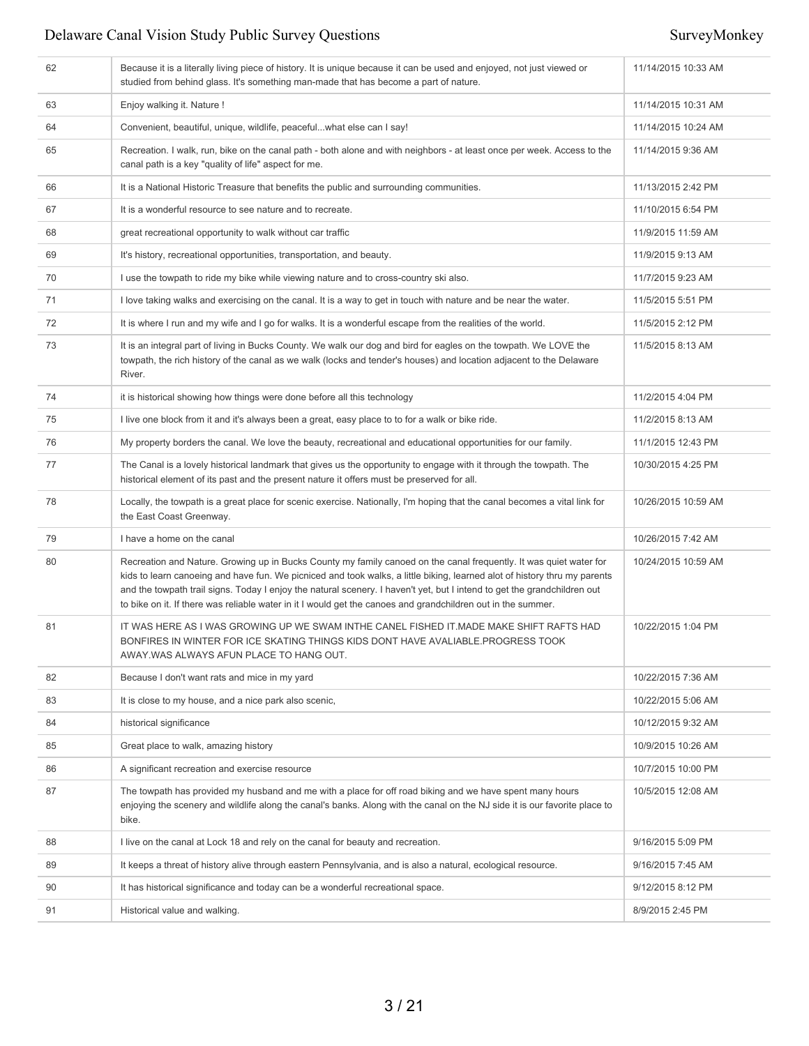| 62 | Because it is a literally living piece of history. It is unique because it can be used and enjoyed, not just viewed or<br>studied from behind glass. It's something man-made that has become a part of nature.                                                                                                                                                                                                                                                                              | 11/14/2015 10:33 AM |
|----|---------------------------------------------------------------------------------------------------------------------------------------------------------------------------------------------------------------------------------------------------------------------------------------------------------------------------------------------------------------------------------------------------------------------------------------------------------------------------------------------|---------------------|
| 63 | Enjoy walking it. Nature !                                                                                                                                                                                                                                                                                                                                                                                                                                                                  | 11/14/2015 10:31 AM |
| 64 | Convenient, beautiful, unique, wildlife, peacefulwhat else can I say!                                                                                                                                                                                                                                                                                                                                                                                                                       | 11/14/2015 10:24 AM |
| 65 | Recreation. I walk, run, bike on the canal path - both alone and with neighbors - at least once per week. Access to the<br>canal path is a key "quality of life" aspect for me.                                                                                                                                                                                                                                                                                                             | 11/14/2015 9:36 AM  |
| 66 | It is a National Historic Treasure that benefits the public and surrounding communities.                                                                                                                                                                                                                                                                                                                                                                                                    | 11/13/2015 2:42 PM  |
| 67 | It is a wonderful resource to see nature and to recreate.                                                                                                                                                                                                                                                                                                                                                                                                                                   | 11/10/2015 6:54 PM  |
| 68 | great recreational opportunity to walk without car traffic                                                                                                                                                                                                                                                                                                                                                                                                                                  | 11/9/2015 11:59 AM  |
| 69 | It's history, recreational opportunities, transportation, and beauty.                                                                                                                                                                                                                                                                                                                                                                                                                       | 11/9/2015 9:13 AM   |
| 70 | I use the towpath to ride my bike while viewing nature and to cross-country ski also.                                                                                                                                                                                                                                                                                                                                                                                                       | 11/7/2015 9:23 AM   |
| 71 | I love taking walks and exercising on the canal. It is a way to get in touch with nature and be near the water.                                                                                                                                                                                                                                                                                                                                                                             | 11/5/2015 5:51 PM   |
| 72 | It is where I run and my wife and I go for walks. It is a wonderful escape from the realities of the world.                                                                                                                                                                                                                                                                                                                                                                                 | 11/5/2015 2:12 PM   |
| 73 | It is an integral part of living in Bucks County. We walk our dog and bird for eagles on the towpath. We LOVE the<br>towpath, the rich history of the canal as we walk (locks and tender's houses) and location adjacent to the Delaware<br>River.                                                                                                                                                                                                                                          | 11/5/2015 8:13 AM   |
| 74 | it is historical showing how things were done before all this technology                                                                                                                                                                                                                                                                                                                                                                                                                    | 11/2/2015 4:04 PM   |
| 75 | I live one block from it and it's always been a great, easy place to to for a walk or bike ride.                                                                                                                                                                                                                                                                                                                                                                                            | 11/2/2015 8:13 AM   |
| 76 | My property borders the canal. We love the beauty, recreational and educational opportunities for our family.                                                                                                                                                                                                                                                                                                                                                                               | 11/1/2015 12:43 PM  |
| 77 | The Canal is a lovely historical landmark that gives us the opportunity to engage with it through the towpath. The<br>historical element of its past and the present nature it offers must be preserved for all.                                                                                                                                                                                                                                                                            | 10/30/2015 4:25 PM  |
| 78 | Locally, the towpath is a great place for scenic exercise. Nationally, I'm hoping that the canal becomes a vital link for<br>the East Coast Greenway.                                                                                                                                                                                                                                                                                                                                       | 10/26/2015 10:59 AM |
| 79 | I have a home on the canal                                                                                                                                                                                                                                                                                                                                                                                                                                                                  | 10/26/2015 7:42 AM  |
| 80 | Recreation and Nature. Growing up in Bucks County my family canoed on the canal frequently. It was quiet water for<br>kids to learn canoeing and have fun. We picniced and took walks, a little biking, learned alot of history thru my parents<br>and the towpath trail signs. Today I enjoy the natural scenery. I haven't yet, but I intend to get the grandchildren out<br>to bike on it. If there was reliable water in it I would get the canoes and grandchildren out in the summer. | 10/24/2015 10:59 AM |
| 81 | IT WAS HERE AS I WAS GROWING UP WE SWAM INTHE CANEL FISHED IT.MADE MAKE SHIFT RAFTS HAD<br>BONFIRES IN WINTER FOR ICE SKATING THINGS KIDS DONT HAVE AVALIABLE.PROGRESS TOOK<br>AWAY.WAS ALWAYS AFUN PLACE TO HANG OUT.                                                                                                                                                                                                                                                                      | 10/22/2015 1:04 PM  |
| 82 | Because I don't want rats and mice in my yard                                                                                                                                                                                                                                                                                                                                                                                                                                               | 10/22/2015 7:36 AM  |
| 83 | It is close to my house, and a nice park also scenic,                                                                                                                                                                                                                                                                                                                                                                                                                                       | 10/22/2015 5:06 AM  |
| 84 | historical significance                                                                                                                                                                                                                                                                                                                                                                                                                                                                     | 10/12/2015 9:32 AM  |
| 85 | Great place to walk, amazing history                                                                                                                                                                                                                                                                                                                                                                                                                                                        | 10/9/2015 10:26 AM  |
| 86 | A significant recreation and exercise resource                                                                                                                                                                                                                                                                                                                                                                                                                                              | 10/7/2015 10:00 PM  |
| 87 | The towpath has provided my husband and me with a place for off road biking and we have spent many hours<br>enjoying the scenery and wildlife along the canal's banks. Along with the canal on the NJ side it is our favorite place to<br>bike.                                                                                                                                                                                                                                             | 10/5/2015 12:08 AM  |
| 88 | I live on the canal at Lock 18 and rely on the canal for beauty and recreation.                                                                                                                                                                                                                                                                                                                                                                                                             | 9/16/2015 5:09 PM   |
| 89 | It keeps a threat of history alive through eastern Pennsylvania, and is also a natural, ecological resource.                                                                                                                                                                                                                                                                                                                                                                                | 9/16/2015 7:45 AM   |
| 90 | It has historical significance and today can be a wonderful recreational space.                                                                                                                                                                                                                                                                                                                                                                                                             | 9/12/2015 8:12 PM   |
| 91 | Historical value and walking.                                                                                                                                                                                                                                                                                                                                                                                                                                                               | 8/9/2015 2:45 PM    |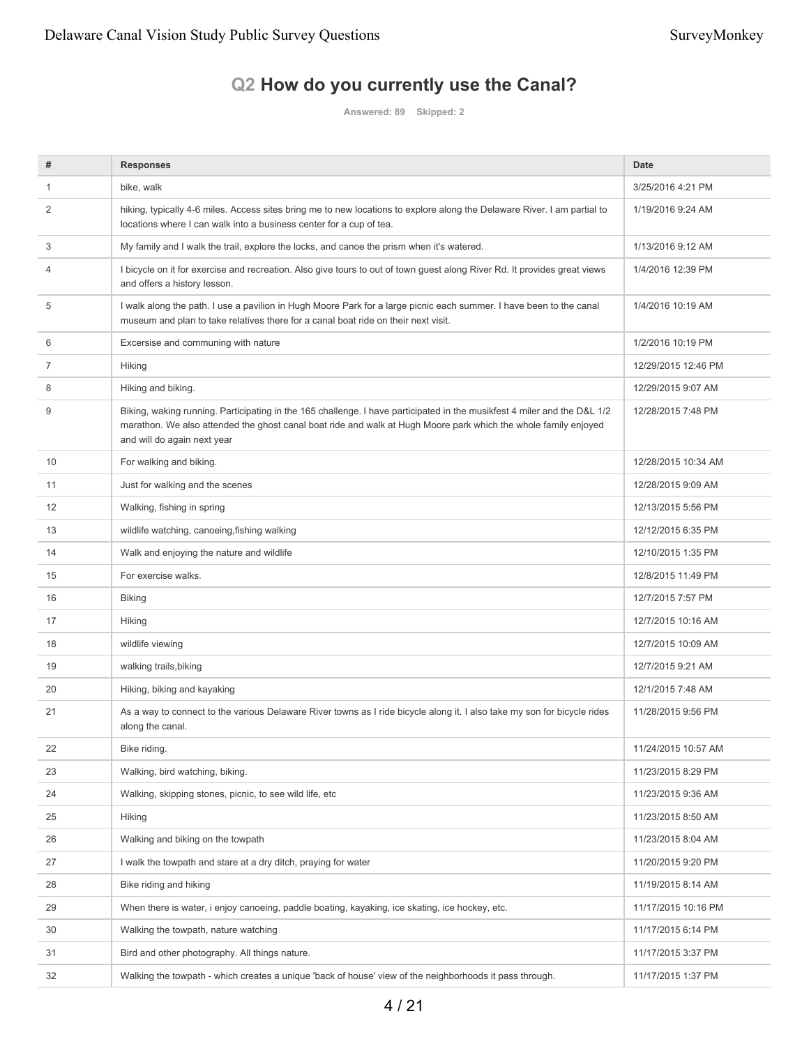# **Q2 How do you currently use the Canal?**

**Answered: 89 Skipped: 2**

| #  | <b>Responses</b>                                                                                                                                                                                                                                                           | <b>Date</b>         |
|----|----------------------------------------------------------------------------------------------------------------------------------------------------------------------------------------------------------------------------------------------------------------------------|---------------------|
| 1  | bike, walk                                                                                                                                                                                                                                                                 | 3/25/2016 4:21 PM   |
| 2  | hiking, typically 4-6 miles. Access sites bring me to new locations to explore along the Delaware River. I am partial to<br>locations where I can walk into a business center for a cup of tea.                                                                            | 1/19/2016 9:24 AM   |
| 3  | My family and I walk the trail, explore the locks, and canoe the prism when it's watered.                                                                                                                                                                                  | 1/13/2016 9:12 AM   |
| 4  | I bicycle on it for exercise and recreation. Also give tours to out of town guest along River Rd. It provides great views<br>and offers a history lesson.                                                                                                                  | 1/4/2016 12:39 PM   |
| 5  | I walk along the path. I use a pavilion in Hugh Moore Park for a large picnic each summer. I have been to the canal<br>museum and plan to take relatives there for a canal boat ride on their next visit.                                                                  | 1/4/2016 10:19 AM   |
| 6  | Excersise and communing with nature                                                                                                                                                                                                                                        | 1/2/2016 10:19 PM   |
| 7  | <b>Hiking</b>                                                                                                                                                                                                                                                              | 12/29/2015 12:46 PM |
| 8  | Hiking and biking.                                                                                                                                                                                                                                                         | 12/29/2015 9:07 AM  |
| 9  | Biking, waking running. Participating in the 165 challenge. I have participated in the musikfest 4 miler and the D&L 1/2<br>marathon. We also attended the ghost canal boat ride and walk at Hugh Moore park which the whole family enjoyed<br>and will do again next year | 12/28/2015 7:48 PM  |
| 10 | For walking and biking.                                                                                                                                                                                                                                                    | 12/28/2015 10:34 AM |
| 11 | Just for walking and the scenes                                                                                                                                                                                                                                            | 12/28/2015 9:09 AM  |
| 12 | Walking, fishing in spring                                                                                                                                                                                                                                                 | 12/13/2015 5:56 PM  |
| 13 | wildlife watching, canoeing, fishing walking                                                                                                                                                                                                                               | 12/12/2015 6:35 PM  |
| 14 | Walk and enjoying the nature and wildlife                                                                                                                                                                                                                                  | 12/10/2015 1:35 PM  |
| 15 | For exercise walks.                                                                                                                                                                                                                                                        | 12/8/2015 11:49 PM  |
| 16 | <b>Biking</b>                                                                                                                                                                                                                                                              | 12/7/2015 7:57 PM   |
| 17 | <b>Hiking</b>                                                                                                                                                                                                                                                              | 12/7/2015 10:16 AM  |
| 18 | wildlife viewing                                                                                                                                                                                                                                                           | 12/7/2015 10:09 AM  |
| 19 | walking trails, biking                                                                                                                                                                                                                                                     | 12/7/2015 9:21 AM   |
| 20 | Hiking, biking and kayaking                                                                                                                                                                                                                                                | 12/1/2015 7:48 AM   |
| 21 | As a way to connect to the various Delaware River towns as I ride bicycle along it. I also take my son for bicycle rides<br>along the canal.                                                                                                                               | 11/28/2015 9:56 PM  |
| 22 | Bike riding.                                                                                                                                                                                                                                                               | 11/24/2015 10:57 AM |
| 23 | Walking, bird watching, biking.                                                                                                                                                                                                                                            | 11/23/2015 8:29 PM  |
| 24 | Walking, skipping stones, picnic, to see wild life, etc                                                                                                                                                                                                                    | 11/23/2015 9:36 AM  |
| 25 | <b>Hiking</b>                                                                                                                                                                                                                                                              | 11/23/2015 8:50 AM  |
| 26 | Walking and biking on the towpath                                                                                                                                                                                                                                          | 11/23/2015 8:04 AM  |
| 27 | I walk the towpath and stare at a dry ditch, praying for water                                                                                                                                                                                                             | 11/20/2015 9:20 PM  |
| 28 | Bike riding and hiking                                                                                                                                                                                                                                                     | 11/19/2015 8:14 AM  |
| 29 | When there is water, i enjoy canoeing, paddle boating, kayaking, ice skating, ice hockey, etc.                                                                                                                                                                             | 11/17/2015 10:16 PM |
| 30 | Walking the towpath, nature watching                                                                                                                                                                                                                                       | 11/17/2015 6:14 PM  |
| 31 | Bird and other photography. All things nature.                                                                                                                                                                                                                             | 11/17/2015 3:37 PM  |
| 32 | Walking the towpath - which creates a unique 'back of house' view of the neighborhoods it pass through.                                                                                                                                                                    | 11/17/2015 1:37 PM  |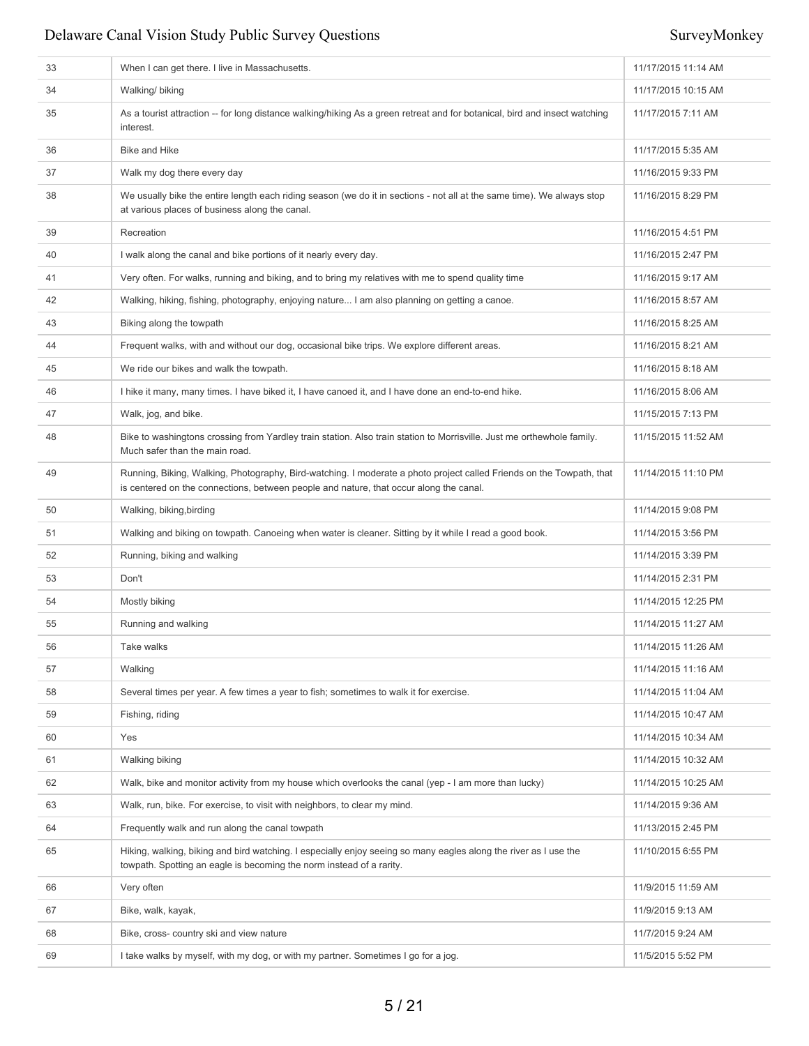| 33 | When I can get there. I live in Massachusetts.                                                                                                                                                                 | 11/17/2015 11:14 AM |
|----|----------------------------------------------------------------------------------------------------------------------------------------------------------------------------------------------------------------|---------------------|
| 34 | Walking/ biking                                                                                                                                                                                                | 11/17/2015 10:15 AM |
| 35 | As a tourist attraction -- for long distance walking/hiking As a green retreat and for botanical, bird and insect watching<br>interest.                                                                        | 11/17/2015 7:11 AM  |
| 36 | <b>Bike and Hike</b>                                                                                                                                                                                           | 11/17/2015 5:35 AM  |
| 37 | Walk my dog there every day                                                                                                                                                                                    | 11/16/2015 9:33 PM  |
| 38 | We usually bike the entire length each riding season (we do it in sections - not all at the same time). We always stop<br>at various places of business along the canal.                                       | 11/16/2015 8:29 PM  |
| 39 | Recreation                                                                                                                                                                                                     | 11/16/2015 4:51 PM  |
| 40 | I walk along the canal and bike portions of it nearly every day.                                                                                                                                               | 11/16/2015 2:47 PM  |
| 41 | Very often. For walks, running and biking, and to bring my relatives with me to spend quality time                                                                                                             | 11/16/2015 9:17 AM  |
| 42 | Walking, hiking, fishing, photography, enjoying nature I am also planning on getting a canoe.                                                                                                                  | 11/16/2015 8:57 AM  |
| 43 | Biking along the towpath                                                                                                                                                                                       | 11/16/2015 8:25 AM  |
| 44 | Frequent walks, with and without our dog, occasional bike trips. We explore different areas.                                                                                                                   | 11/16/2015 8:21 AM  |
| 45 | We ride our bikes and walk the towpath.                                                                                                                                                                        | 11/16/2015 8:18 AM  |
| 46 | I hike it many, many times. I have biked it, I have canoed it, and I have done an end-to-end hike.                                                                                                             | 11/16/2015 8:06 AM  |
| 47 | Walk, jog, and bike.                                                                                                                                                                                           | 11/15/2015 7:13 PM  |
| 48 | Bike to washingtons crossing from Yardley train station. Also train station to Morrisville. Just me orthewhole family.<br>Much safer than the main road.                                                       | 11/15/2015 11:52 AM |
| 49 | Running, Biking, Walking, Photography, Bird-watching. I moderate a photo project called Friends on the Towpath, that<br>is centered on the connections, between people and nature, that occur along the canal. | 11/14/2015 11:10 PM |
| 50 | Walking, biking, birding                                                                                                                                                                                       | 11/14/2015 9:08 PM  |
| 51 | Walking and biking on towpath. Canoeing when water is cleaner. Sitting by it while I read a good book.                                                                                                         | 11/14/2015 3:56 PM  |
| 52 | Running, biking and walking                                                                                                                                                                                    | 11/14/2015 3:39 PM  |
| 53 | Don't                                                                                                                                                                                                          | 11/14/2015 2:31 PM  |
| 54 | Mostly biking                                                                                                                                                                                                  | 11/14/2015 12:25 PM |
| 55 | Running and walking                                                                                                                                                                                            | 11/14/2015 11:27 AM |
| 56 | Take walks                                                                                                                                                                                                     | 11/14/2015 11:26 AM |
| 57 | Walking                                                                                                                                                                                                        | 11/14/2015 11:16 AM |
| 58 | Several times per year. A few times a year to fish; sometimes to walk it for exercise.                                                                                                                         | 11/14/2015 11:04 AM |
| 59 | Fishing, riding                                                                                                                                                                                                | 11/14/2015 10:47 AM |
| 60 | Yes                                                                                                                                                                                                            | 11/14/2015 10:34 AM |
| 61 | Walking biking                                                                                                                                                                                                 | 11/14/2015 10:32 AM |
| 62 | Walk, bike and monitor activity from my house which overlooks the canal (yep - I am more than lucky)                                                                                                           | 11/14/2015 10:25 AM |
| 63 | Walk, run, bike. For exercise, to visit with neighbors, to clear my mind.                                                                                                                                      | 11/14/2015 9:36 AM  |
| 64 | Frequently walk and run along the canal towpath                                                                                                                                                                | 11/13/2015 2:45 PM  |
| 65 | Hiking, walking, biking and bird watching. I especially enjoy seeing so many eagles along the river as I use the<br>towpath. Spotting an eagle is becoming the norm instead of a rarity.                       | 11/10/2015 6:55 PM  |
| 66 | Very often                                                                                                                                                                                                     | 11/9/2015 11:59 AM  |
| 67 | Bike, walk, kayak,                                                                                                                                                                                             | 11/9/2015 9:13 AM   |
| 68 | Bike, cross-country ski and view nature                                                                                                                                                                        | 11/7/2015 9:24 AM   |
| 69 | I take walks by myself, with my dog, or with my partner. Sometimes I go for a jog.                                                                                                                             | 11/5/2015 5:52 PM   |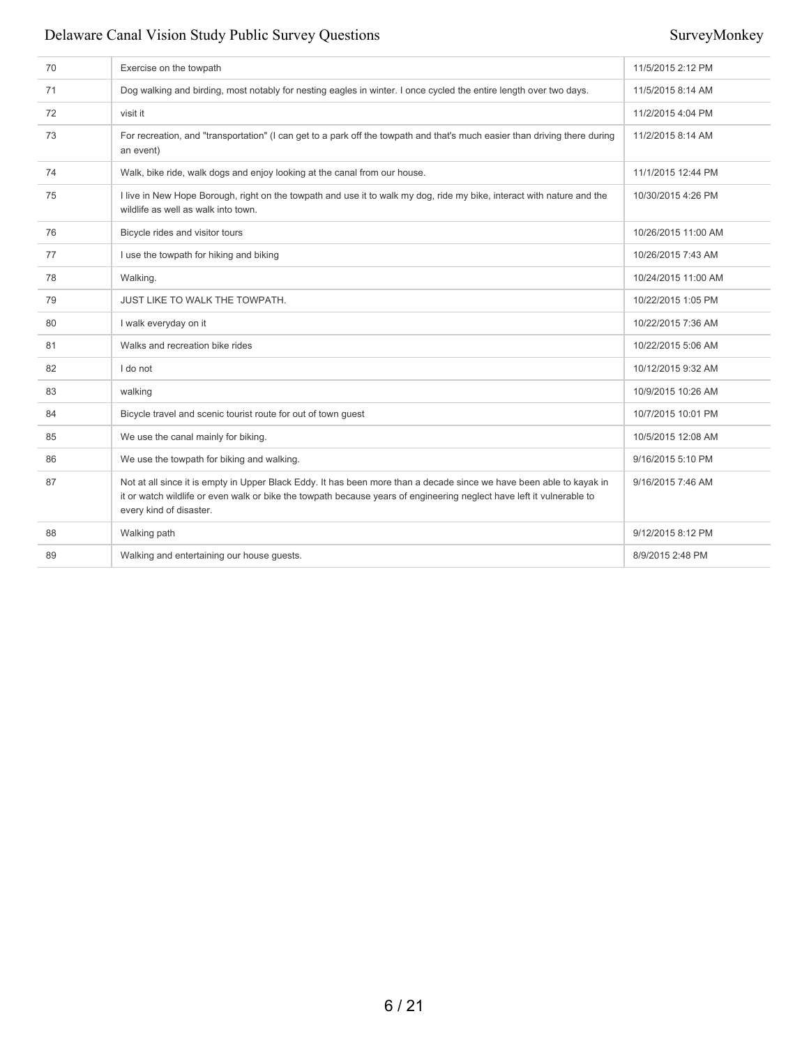| 70 | Exercise on the towpath                                                                                                                                                                                                                                                  | 11/5/2015 2:12 PM   |
|----|--------------------------------------------------------------------------------------------------------------------------------------------------------------------------------------------------------------------------------------------------------------------------|---------------------|
| 71 | Dog walking and birding, most notably for nesting eagles in winter. I once cycled the entire length over two days.                                                                                                                                                       | 11/5/2015 8:14 AM   |
| 72 | visit it                                                                                                                                                                                                                                                                 | 11/2/2015 4:04 PM   |
| 73 | For recreation, and "transportation" (I can get to a park off the towpath and that's much easier than driving there during<br>an event)                                                                                                                                  | 11/2/2015 8:14 AM   |
| 74 | Walk, bike ride, walk dogs and enjoy looking at the canal from our house.                                                                                                                                                                                                | 11/1/2015 12:44 PM  |
| 75 | I live in New Hope Borough, right on the towpath and use it to walk my dog, ride my bike, interact with nature and the<br>wildlife as well as walk into town.                                                                                                            | 10/30/2015 4:26 PM  |
| 76 | Bicycle rides and visitor tours                                                                                                                                                                                                                                          | 10/26/2015 11:00 AM |
| 77 | I use the towpath for hiking and biking                                                                                                                                                                                                                                  | 10/26/2015 7:43 AM  |
| 78 | Walking.                                                                                                                                                                                                                                                                 | 10/24/2015 11:00 AM |
| 79 | JUST LIKE TO WALK THE TOWPATH.                                                                                                                                                                                                                                           | 10/22/2015 1:05 PM  |
| 80 | I walk everyday on it                                                                                                                                                                                                                                                    | 10/22/2015 7:36 AM  |
| 81 | Walks and recreation bike rides                                                                                                                                                                                                                                          | 10/22/2015 5:06 AM  |
| 82 | I do not                                                                                                                                                                                                                                                                 | 10/12/2015 9:32 AM  |
| 83 | walking                                                                                                                                                                                                                                                                  | 10/9/2015 10:26 AM  |
| 84 | Bicycle travel and scenic tourist route for out of town guest                                                                                                                                                                                                            | 10/7/2015 10:01 PM  |
| 85 | We use the canal mainly for biking.                                                                                                                                                                                                                                      | 10/5/2015 12:08 AM  |
| 86 | We use the towpath for biking and walking.                                                                                                                                                                                                                               | 9/16/2015 5:10 PM   |
| 87 | Not at all since it is empty in Upper Black Eddy. It has been more than a decade since we have been able to kayak in<br>it or watch wildlife or even walk or bike the towpath because years of engineering neglect have left it vulnerable to<br>every kind of disaster. | 9/16/2015 7:46 AM   |
| 88 | Walking path                                                                                                                                                                                                                                                             | 9/12/2015 8:12 PM   |
| 89 | Walking and entertaining our house guests.                                                                                                                                                                                                                               | 8/9/2015 2:48 PM    |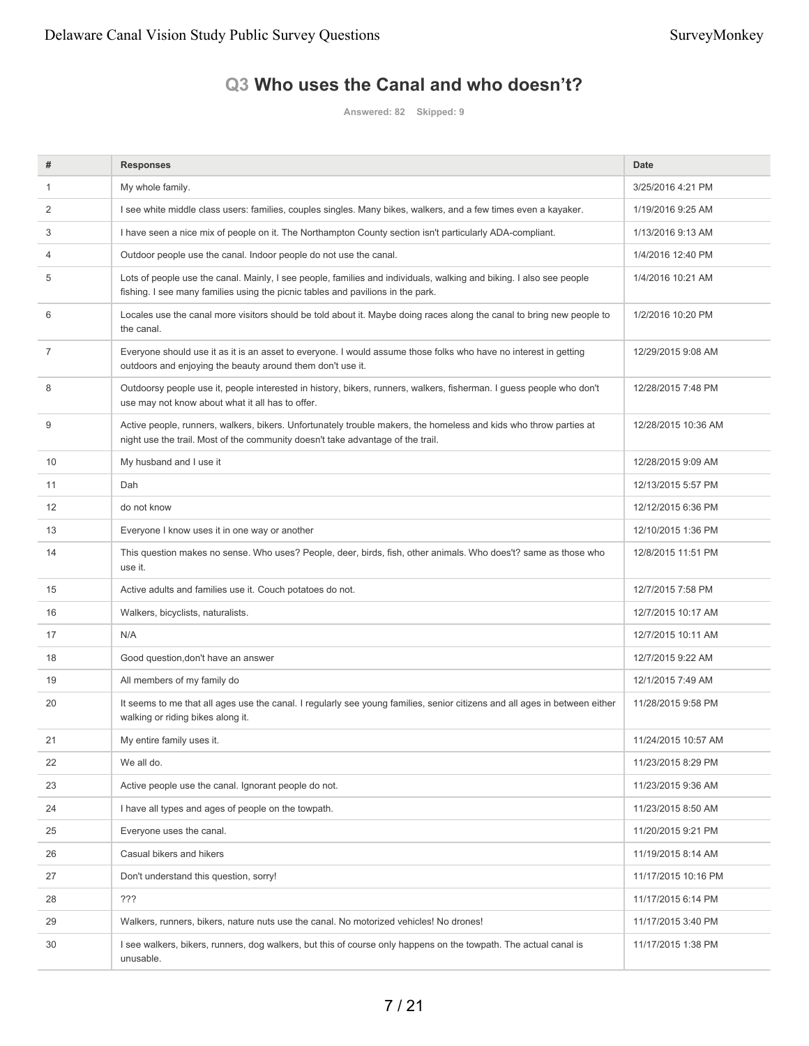# **Q3 Who uses the Canal and who doesn't?**

**Answered: 82 Skipped: 9**

| #  | <b>Responses</b>                                                                                                                                                                                       | <b>Date</b>         |
|----|--------------------------------------------------------------------------------------------------------------------------------------------------------------------------------------------------------|---------------------|
| -1 | My whole family.                                                                                                                                                                                       | 3/25/2016 4:21 PM   |
| 2  | I see white middle class users: families, couples singles. Many bikes, walkers, and a few times even a kayaker.                                                                                        | 1/19/2016 9:25 AM   |
| 3  | I have seen a nice mix of people on it. The Northampton County section isn't particularly ADA-compliant.                                                                                               | 1/13/2016 9:13 AM   |
| 4  | Outdoor people use the canal. Indoor people do not use the canal.                                                                                                                                      | 1/4/2016 12:40 PM   |
| 5  | Lots of people use the canal. Mainly, I see people, families and individuals, walking and biking. I also see people<br>fishing. I see many families using the picnic tables and pavilions in the park. | 1/4/2016 10:21 AM   |
| 6  | Locales use the canal more visitors should be told about it. Maybe doing races along the canal to bring new people to<br>the canal.                                                                    | 1/2/2016 10:20 PM   |
| 7  | Everyone should use it as it is an asset to everyone. I would assume those folks who have no interest in getting<br>outdoors and enjoying the beauty around them don't use it.                         | 12/29/2015 9:08 AM  |
| 8  | Outdoorsy people use it, people interested in history, bikers, runners, walkers, fisherman. I guess people who don't<br>use may not know about what it all has to offer.                               | 12/28/2015 7:48 PM  |
| 9  | Active people, runners, walkers, bikers. Unfortunately trouble makers, the homeless and kids who throw parties at<br>night use the trail. Most of the community doesn't take advantage of the trail.   | 12/28/2015 10:36 AM |
| 10 | My husband and I use it                                                                                                                                                                                | 12/28/2015 9:09 AM  |
| 11 | Dah                                                                                                                                                                                                    | 12/13/2015 5:57 PM  |
| 12 | do not know                                                                                                                                                                                            | 12/12/2015 6:36 PM  |
| 13 | Everyone I know uses it in one way or another                                                                                                                                                          | 12/10/2015 1:36 PM  |
| 14 | This question makes no sense. Who uses? People, deer, birds, fish, other animals. Who does't? same as those who<br>use it.                                                                             | 12/8/2015 11:51 PM  |
| 15 | Active adults and families use it. Couch potatoes do not.                                                                                                                                              | 12/7/2015 7:58 PM   |
| 16 | Walkers, bicyclists, naturalists.                                                                                                                                                                      | 12/7/2015 10:17 AM  |
| 17 | N/A                                                                                                                                                                                                    | 12/7/2015 10:11 AM  |
| 18 | Good question, don't have an answer                                                                                                                                                                    | 12/7/2015 9:22 AM   |
| 19 | All members of my family do                                                                                                                                                                            | 12/1/2015 7:49 AM   |
| 20 | It seems to me that all ages use the canal. I regularly see young families, senior citizens and all ages in between either<br>walking or riding bikes along it.                                        | 11/28/2015 9:58 PM  |
| 21 | My entire family uses it.                                                                                                                                                                              | 11/24/2015 10:57 AM |
| 22 | We all do.                                                                                                                                                                                             | 11/23/2015 8:29 PM  |
| 23 | Active people use the canal. Ignorant people do not.                                                                                                                                                   | 11/23/2015 9:36 AM  |
| 24 | I have all types and ages of people on the towpath.                                                                                                                                                    | 11/23/2015 8:50 AM  |
| 25 | Everyone uses the canal.                                                                                                                                                                               | 11/20/2015 9:21 PM  |
| 26 | Casual bikers and hikers                                                                                                                                                                               | 11/19/2015 8:14 AM  |
| 27 | Don't understand this question, sorry!                                                                                                                                                                 | 11/17/2015 10:16 PM |
| 28 | ???                                                                                                                                                                                                    | 11/17/2015 6:14 PM  |
| 29 | Walkers, runners, bikers, nature nuts use the canal. No motorized vehicles! No drones!                                                                                                                 | 11/17/2015 3:40 PM  |
| 30 | I see walkers, bikers, runners, dog walkers, but this of course only happens on the towpath. The actual canal is<br>unusable.                                                                          | 11/17/2015 1:38 PM  |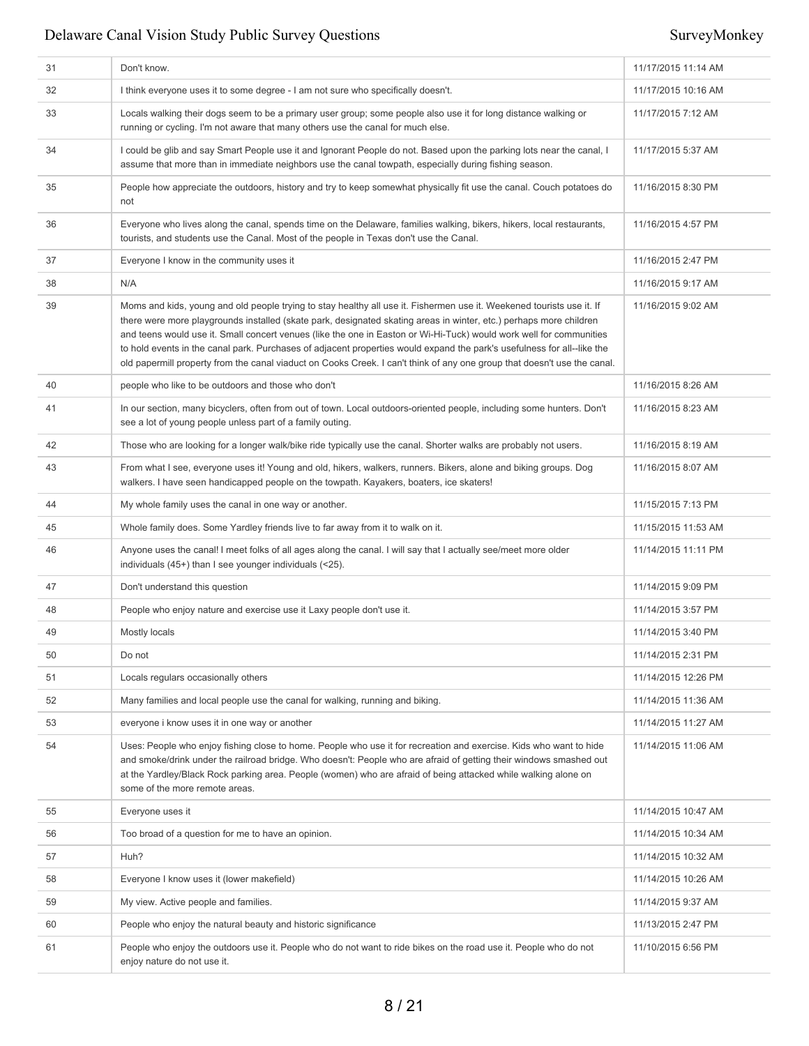| 31 | Don't know.                                                                                                                                                                                                                                                                                                                                                                                                                                                                                                                                                                                                               | 11/17/2015 11:14 AM |
|----|---------------------------------------------------------------------------------------------------------------------------------------------------------------------------------------------------------------------------------------------------------------------------------------------------------------------------------------------------------------------------------------------------------------------------------------------------------------------------------------------------------------------------------------------------------------------------------------------------------------------------|---------------------|
| 32 | I think everyone uses it to some degree - I am not sure who specifically doesn't.                                                                                                                                                                                                                                                                                                                                                                                                                                                                                                                                         | 11/17/2015 10:16 AM |
| 33 | Locals walking their dogs seem to be a primary user group; some people also use it for long distance walking or<br>running or cycling. I'm not aware that many others use the canal for much else.                                                                                                                                                                                                                                                                                                                                                                                                                        | 11/17/2015 7:12 AM  |
| 34 | I could be glib and say Smart People use it and Ignorant People do not. Based upon the parking lots near the canal, I<br>assume that more than in immediate neighbors use the canal towpath, especially during fishing season.                                                                                                                                                                                                                                                                                                                                                                                            | 11/17/2015 5:37 AM  |
| 35 | People how appreciate the outdoors, history and try to keep somewhat physically fit use the canal. Couch potatoes do<br>not                                                                                                                                                                                                                                                                                                                                                                                                                                                                                               | 11/16/2015 8:30 PM  |
| 36 | Everyone who lives along the canal, spends time on the Delaware, families walking, bikers, hikers, local restaurants,<br>tourists, and students use the Canal. Most of the people in Texas don't use the Canal.                                                                                                                                                                                                                                                                                                                                                                                                           | 11/16/2015 4:57 PM  |
| 37 | Everyone I know in the community uses it                                                                                                                                                                                                                                                                                                                                                                                                                                                                                                                                                                                  | 11/16/2015 2:47 PM  |
| 38 | N/A                                                                                                                                                                                                                                                                                                                                                                                                                                                                                                                                                                                                                       | 11/16/2015 9:17 AM  |
| 39 | Moms and kids, young and old people trying to stay healthy all use it. Fishermen use it. Weekened tourists use it. If<br>there were more playgrounds installed (skate park, designated skating areas in winter, etc.) perhaps more children<br>and teens would use it. Small concert venues (like the one in Easton or Wi-Hi-Tuck) would work well for communities<br>to hold events in the canal park. Purchases of adjacent properties would expand the park's usefulness for all--like the<br>old papermill property from the canal viaduct on Cooks Creek. I can't think of any one group that doesn't use the canal. | 11/16/2015 9:02 AM  |
| 40 | people who like to be outdoors and those who don't                                                                                                                                                                                                                                                                                                                                                                                                                                                                                                                                                                        | 11/16/2015 8:26 AM  |
| 41 | In our section, many bicyclers, often from out of town. Local outdoors-oriented people, including some hunters. Don't<br>see a lot of young people unless part of a family outing.                                                                                                                                                                                                                                                                                                                                                                                                                                        | 11/16/2015 8:23 AM  |
| 42 | Those who are looking for a longer walk/bike ride typically use the canal. Shorter walks are probably not users.                                                                                                                                                                                                                                                                                                                                                                                                                                                                                                          | 11/16/2015 8:19 AM  |
| 43 | From what I see, everyone uses it! Young and old, hikers, walkers, runners. Bikers, alone and biking groups. Dog<br>walkers. I have seen handicapped people on the towpath. Kayakers, boaters, ice skaters!                                                                                                                                                                                                                                                                                                                                                                                                               | 11/16/2015 8:07 AM  |
| 44 | My whole family uses the canal in one way or another.                                                                                                                                                                                                                                                                                                                                                                                                                                                                                                                                                                     | 11/15/2015 7:13 PM  |
| 45 | Whole family does. Some Yardley friends live to far away from it to walk on it.                                                                                                                                                                                                                                                                                                                                                                                                                                                                                                                                           | 11/15/2015 11:53 AM |
| 46 | Anyone uses the canal! I meet folks of all ages along the canal. I will say that I actually see/meet more older<br>individuals (45+) than I see younger individuals (<25).                                                                                                                                                                                                                                                                                                                                                                                                                                                | 11/14/2015 11:11 PM |
| 47 | Don't understand this question                                                                                                                                                                                                                                                                                                                                                                                                                                                                                                                                                                                            | 11/14/2015 9:09 PM  |
| 48 | People who enjoy nature and exercise use it Laxy people don't use it.                                                                                                                                                                                                                                                                                                                                                                                                                                                                                                                                                     | 11/14/2015 3:57 PM  |
| 49 | Mostly locals                                                                                                                                                                                                                                                                                                                                                                                                                                                                                                                                                                                                             | 11/14/2015 3:40 PM  |
| 50 | Do not                                                                                                                                                                                                                                                                                                                                                                                                                                                                                                                                                                                                                    | 11/14/2015 2:31 PM  |
| 51 | Locals regulars occasionally others                                                                                                                                                                                                                                                                                                                                                                                                                                                                                                                                                                                       | 11/14/2015 12:26 PM |
| 52 | Many families and local people use the canal for walking, running and biking.                                                                                                                                                                                                                                                                                                                                                                                                                                                                                                                                             | 11/14/2015 11:36 AM |
| 53 | everyone i know uses it in one way or another                                                                                                                                                                                                                                                                                                                                                                                                                                                                                                                                                                             | 11/14/2015 11:27 AM |
| 54 | Uses: People who enjoy fishing close to home. People who use it for recreation and exercise. Kids who want to hide<br>and smoke/drink under the railroad bridge. Who doesn't: People who are afraid of getting their windows smashed out<br>at the Yardley/Black Rock parking area. People (women) who are afraid of being attacked while walking alone on<br>some of the more remote areas.                                                                                                                                                                                                                              | 11/14/2015 11:06 AM |
| 55 | Everyone uses it                                                                                                                                                                                                                                                                                                                                                                                                                                                                                                                                                                                                          | 11/14/2015 10:47 AM |
| 56 | Too broad of a question for me to have an opinion.                                                                                                                                                                                                                                                                                                                                                                                                                                                                                                                                                                        | 11/14/2015 10:34 AM |
| 57 | Huh?                                                                                                                                                                                                                                                                                                                                                                                                                                                                                                                                                                                                                      | 11/14/2015 10:32 AM |
| 58 | Everyone I know uses it (lower makefield)                                                                                                                                                                                                                                                                                                                                                                                                                                                                                                                                                                                 | 11/14/2015 10:26 AM |
| 59 | My view. Active people and families.                                                                                                                                                                                                                                                                                                                                                                                                                                                                                                                                                                                      | 11/14/2015 9:37 AM  |
| 60 | People who enjoy the natural beauty and historic significance                                                                                                                                                                                                                                                                                                                                                                                                                                                                                                                                                             | 11/13/2015 2:47 PM  |
| 61 | People who enjoy the outdoors use it. People who do not want to ride bikes on the road use it. People who do not<br>enjoy nature do not use it.                                                                                                                                                                                                                                                                                                                                                                                                                                                                           | 11/10/2015 6:56 PM  |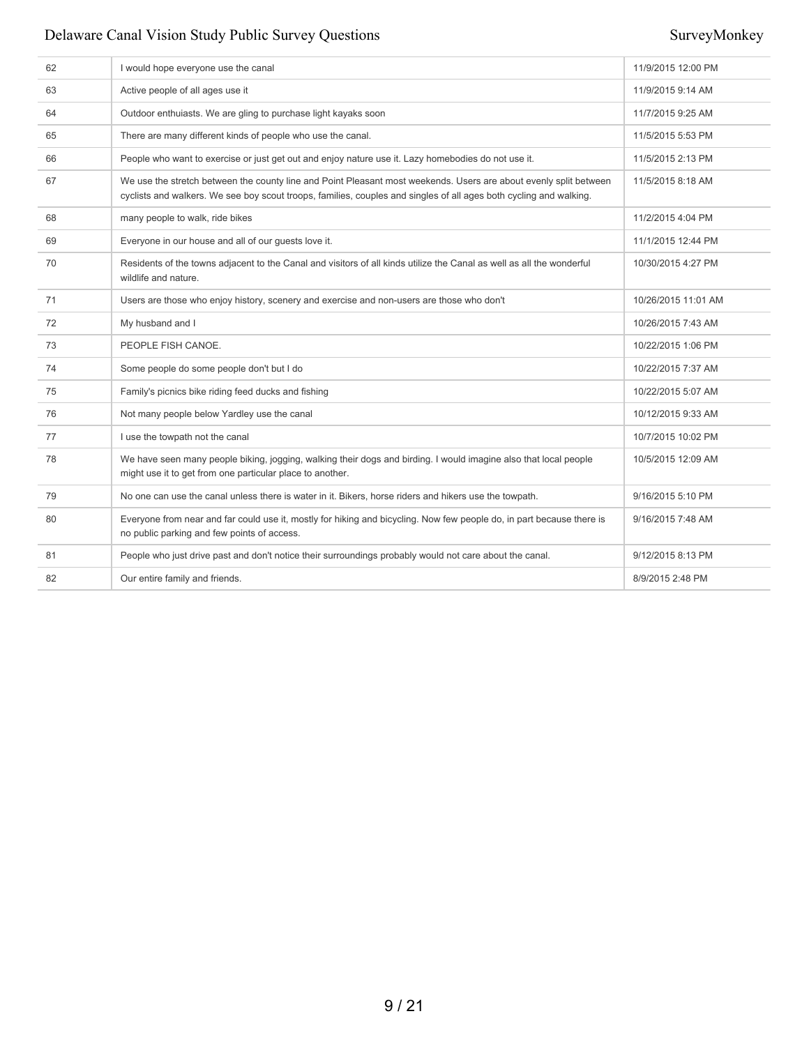| 62 | I would hope everyone use the canal                                                                                                                                                                                                     | 11/9/2015 12:00 PM  |
|----|-----------------------------------------------------------------------------------------------------------------------------------------------------------------------------------------------------------------------------------------|---------------------|
| 63 | Active people of all ages use it                                                                                                                                                                                                        | 11/9/2015 9:14 AM   |
| 64 | Outdoor enthuiasts. We are gling to purchase light kayaks soon                                                                                                                                                                          | 11/7/2015 9:25 AM   |
| 65 | There are many different kinds of people who use the canal.                                                                                                                                                                             | 11/5/2015 5:53 PM   |
| 66 | People who want to exercise or just get out and enjoy nature use it. Lazy homebodies do not use it.                                                                                                                                     | 11/5/2015 2:13 PM   |
| 67 | We use the stretch between the county line and Point Pleasant most weekends. Users are about evenly split between<br>cyclists and walkers. We see boy scout troops, families, couples and singles of all ages both cycling and walking. | 11/5/2015 8:18 AM   |
| 68 | many people to walk, ride bikes                                                                                                                                                                                                         | 11/2/2015 4:04 PM   |
| 69 | Everyone in our house and all of our guests love it.                                                                                                                                                                                    | 11/1/2015 12:44 PM  |
| 70 | Residents of the towns adjacent to the Canal and visitors of all kinds utilize the Canal as well as all the wonderful<br>wildlife and nature.                                                                                           | 10/30/2015 4:27 PM  |
| 71 | Users are those who enjoy history, scenery and exercise and non-users are those who don't                                                                                                                                               | 10/26/2015 11:01 AM |
| 72 | My husband and I                                                                                                                                                                                                                        | 10/26/2015 7:43 AM  |
| 73 | PEOPLE FISH CANOE.                                                                                                                                                                                                                      | 10/22/2015 1:06 PM  |
| 74 | Some people do some people don't but I do                                                                                                                                                                                               | 10/22/2015 7:37 AM  |
| 75 | Family's picnics bike riding feed ducks and fishing                                                                                                                                                                                     | 10/22/2015 5:07 AM  |
| 76 | Not many people below Yardley use the canal                                                                                                                                                                                             | 10/12/2015 9:33 AM  |
| 77 | I use the towpath not the canal                                                                                                                                                                                                         | 10/7/2015 10:02 PM  |
| 78 | We have seen many people biking, jogging, walking their dogs and birding. I would imagine also that local people<br>might use it to get from one particular place to another.                                                           | 10/5/2015 12:09 AM  |
| 79 | No one can use the canal unless there is water in it. Bikers, horse riders and hikers use the towpath.                                                                                                                                  | 9/16/2015 5:10 PM   |
| 80 | Everyone from near and far could use it, mostly for hiking and bicycling. Now few people do, in part because there is<br>no public parking and few points of access.                                                                    | 9/16/2015 7:48 AM   |
| 81 | People who just drive past and don't notice their surroundings probably would not care about the canal.                                                                                                                                 | 9/12/2015 8:13 PM   |
| 82 | Our entire family and friends.                                                                                                                                                                                                          | 8/9/2015 2:48 PM    |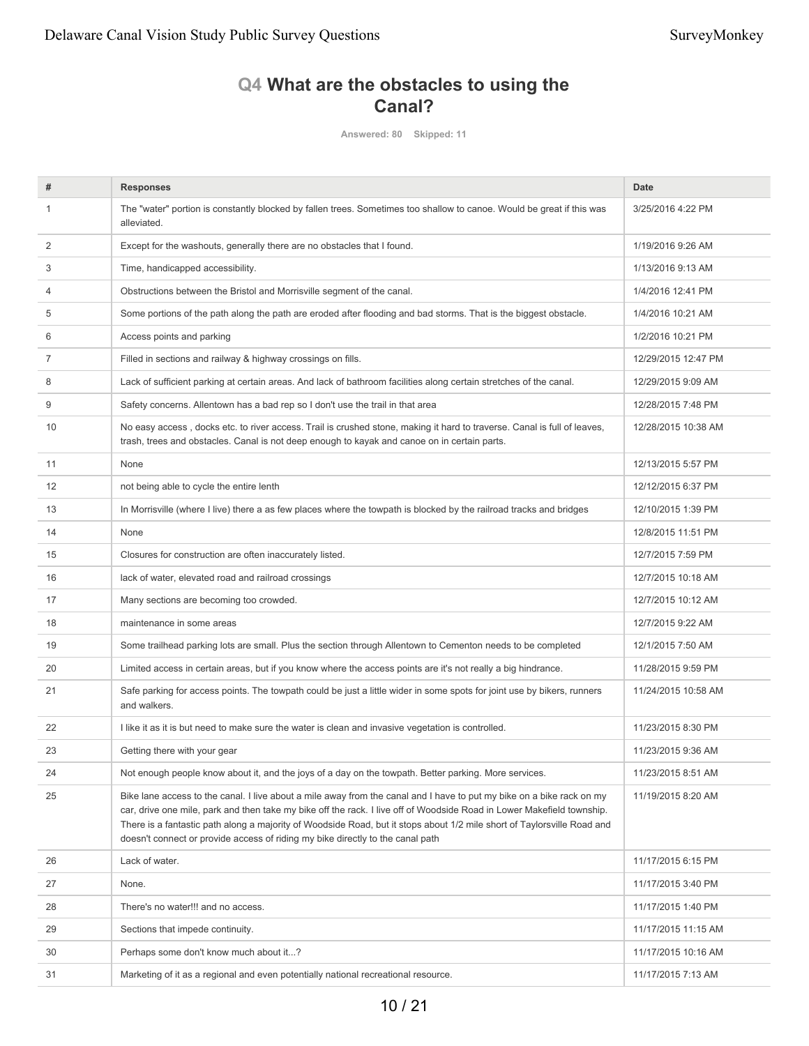# **Q4 What are the obstacles to using the Canal?**

**Answered: 80 Skipped: 11**

| #  | <b>Responses</b>                                                                                                                                                                                                                                                                                                                                                                                                                                             | <b>Date</b>         |
|----|--------------------------------------------------------------------------------------------------------------------------------------------------------------------------------------------------------------------------------------------------------------------------------------------------------------------------------------------------------------------------------------------------------------------------------------------------------------|---------------------|
|    | The "water" portion is constantly blocked by fallen trees. Sometimes too shallow to canoe. Would be great if this was<br>alleviated.                                                                                                                                                                                                                                                                                                                         | 3/25/2016 4:22 PM   |
| 2  | Except for the washouts, generally there are no obstacles that I found.                                                                                                                                                                                                                                                                                                                                                                                      | 1/19/2016 9:26 AM   |
| 3  | Time, handicapped accessibility.                                                                                                                                                                                                                                                                                                                                                                                                                             | 1/13/2016 9:13 AM   |
| 4  | Obstructions between the Bristol and Morrisville segment of the canal.                                                                                                                                                                                                                                                                                                                                                                                       | 1/4/2016 12:41 PM   |
| 5  | Some portions of the path along the path are eroded after flooding and bad storms. That is the biggest obstacle.                                                                                                                                                                                                                                                                                                                                             | 1/4/2016 10:21 AM   |
| 6  | Access points and parking                                                                                                                                                                                                                                                                                                                                                                                                                                    | 1/2/2016 10:21 PM   |
| 7  | Filled in sections and railway & highway crossings on fills.                                                                                                                                                                                                                                                                                                                                                                                                 | 12/29/2015 12:47 PM |
| 8  | Lack of sufficient parking at certain areas. And lack of bathroom facilities along certain stretches of the canal.                                                                                                                                                                                                                                                                                                                                           | 12/29/2015 9:09 AM  |
| 9  | Safety concerns. Allentown has a bad rep so I don't use the trail in that area                                                                                                                                                                                                                                                                                                                                                                               | 12/28/2015 7:48 PM  |
| 10 | No easy access, docks etc. to river access. Trail is crushed stone, making it hard to traverse. Canal is full of leaves,<br>trash, trees and obstacles. Canal is not deep enough to kayak and canoe on in certain parts.                                                                                                                                                                                                                                     | 12/28/2015 10:38 AM |
| 11 | None                                                                                                                                                                                                                                                                                                                                                                                                                                                         | 12/13/2015 5:57 PM  |
| 12 | not being able to cycle the entire lenth                                                                                                                                                                                                                                                                                                                                                                                                                     | 12/12/2015 6:37 PM  |
| 13 | In Morrisville (where I live) there a as few places where the towpath is blocked by the railroad tracks and bridges                                                                                                                                                                                                                                                                                                                                          | 12/10/2015 1:39 PM  |
| 14 | None                                                                                                                                                                                                                                                                                                                                                                                                                                                         | 12/8/2015 11:51 PM  |
| 15 | Closures for construction are often inaccurately listed.                                                                                                                                                                                                                                                                                                                                                                                                     | 12/7/2015 7:59 PM   |
| 16 | lack of water, elevated road and railroad crossings                                                                                                                                                                                                                                                                                                                                                                                                          | 12/7/2015 10:18 AM  |
| 17 | Many sections are becoming too crowded.                                                                                                                                                                                                                                                                                                                                                                                                                      | 12/7/2015 10:12 AM  |
| 18 | maintenance in some areas                                                                                                                                                                                                                                                                                                                                                                                                                                    | 12/7/2015 9:22 AM   |
| 19 | Some trailhead parking lots are small. Plus the section through Allentown to Cementon needs to be completed                                                                                                                                                                                                                                                                                                                                                  | 12/1/2015 7:50 AM   |
| 20 | Limited access in certain areas, but if you know where the access points are it's not really a big hindrance.                                                                                                                                                                                                                                                                                                                                                | 11/28/2015 9:59 PM  |
| 21 | Safe parking for access points. The towpath could be just a little wider in some spots for joint use by bikers, runners<br>and walkers.                                                                                                                                                                                                                                                                                                                      | 11/24/2015 10:58 AM |
| 22 | I like it as it is but need to make sure the water is clean and invasive vegetation is controlled.                                                                                                                                                                                                                                                                                                                                                           | 11/23/2015 8:30 PM  |
| 23 | Getting there with your gear                                                                                                                                                                                                                                                                                                                                                                                                                                 | 11/23/2015 9:36 AM  |
| 24 | Not enough people know about it, and the joys of a day on the towpath. Better parking. More services.                                                                                                                                                                                                                                                                                                                                                        | 11/23/2015 8:51 AM  |
| 25 | Bike lane access to the canal. I live about a mile away from the canal and I have to put my bike on a bike rack on my<br>car, drive one mile, park and then take my bike off the rack. I live off of Woodside Road in Lower Makefield township.<br>There is a fantastic path along a majority of Woodside Road, but it stops about 1/2 mile short of Taylorsville Road and<br>doesn't connect or provide access of riding my bike directly to the canal path | 11/19/2015 8:20 AM  |
| 26 | Lack of water.                                                                                                                                                                                                                                                                                                                                                                                                                                               | 11/17/2015 6:15 PM  |
| 27 | None.                                                                                                                                                                                                                                                                                                                                                                                                                                                        | 11/17/2015 3:40 PM  |
| 28 | There's no water!!! and no access.                                                                                                                                                                                                                                                                                                                                                                                                                           | 11/17/2015 1:40 PM  |
| 29 | Sections that impede continuity.                                                                                                                                                                                                                                                                                                                                                                                                                             | 11/17/2015 11:15 AM |
| 30 | Perhaps some don't know much about it?                                                                                                                                                                                                                                                                                                                                                                                                                       | 11/17/2015 10:16 AM |
| 31 | Marketing of it as a regional and even potentially national recreational resource.                                                                                                                                                                                                                                                                                                                                                                           | 11/17/2015 7:13 AM  |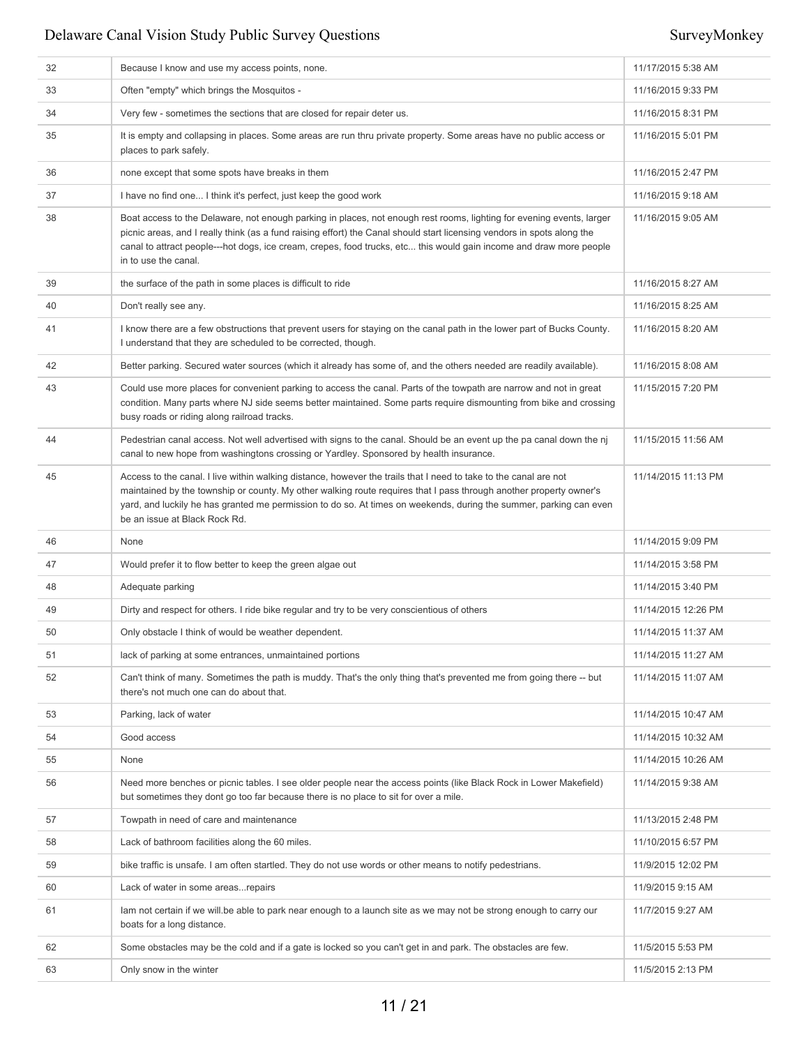| 32 | Because I know and use my access points, none.                                                                                                                                                                                                                                                                                                                                                  | 11/17/2015 5:38 AM  |
|----|-------------------------------------------------------------------------------------------------------------------------------------------------------------------------------------------------------------------------------------------------------------------------------------------------------------------------------------------------------------------------------------------------|---------------------|
| 33 | Often "empty" which brings the Mosquitos -                                                                                                                                                                                                                                                                                                                                                      | 11/16/2015 9:33 PM  |
| 34 | Very few - sometimes the sections that are closed for repair deter us.                                                                                                                                                                                                                                                                                                                          | 11/16/2015 8:31 PM  |
| 35 | It is empty and collapsing in places. Some areas are run thru private property. Some areas have no public access or<br>places to park safely.                                                                                                                                                                                                                                                   | 11/16/2015 5:01 PM  |
| 36 | none except that some spots have breaks in them                                                                                                                                                                                                                                                                                                                                                 | 11/16/2015 2:47 PM  |
| 37 | I have no find one I think it's perfect, just keep the good work                                                                                                                                                                                                                                                                                                                                | 11/16/2015 9:18 AM  |
| 38 | Boat access to the Delaware, not enough parking in places, not enough rest rooms, lighting for evening events, larger<br>picnic areas, and I really think (as a fund raising effort) the Canal should start licensing vendors in spots along the<br>canal to attract people---hot dogs, ice cream, crepes, food trucks, etc this would gain income and draw more people<br>in to use the canal. | 11/16/2015 9:05 AM  |
| 39 | the surface of the path in some places is difficult to ride                                                                                                                                                                                                                                                                                                                                     | 11/16/2015 8:27 AM  |
| 40 | Don't really see any.                                                                                                                                                                                                                                                                                                                                                                           | 11/16/2015 8:25 AM  |
| 41 | I know there are a few obstructions that prevent users for staying on the canal path in the lower part of Bucks County.<br>I understand that they are scheduled to be corrected, though.                                                                                                                                                                                                        | 11/16/2015 8:20 AM  |
| 42 | Better parking. Secured water sources (which it already has some of, and the others needed are readily available).                                                                                                                                                                                                                                                                              | 11/16/2015 8:08 AM  |
| 43 | Could use more places for convenient parking to access the canal. Parts of the towpath are narrow and not in great<br>condition. Many parts where NJ side seems better maintained. Some parts require dismounting from bike and crossing<br>busy roads or riding along railroad tracks.                                                                                                         | 11/15/2015 7:20 PM  |
| 44 | Pedestrian canal access. Not well advertised with signs to the canal. Should be an event up the pa canal down the nj<br>canal to new hope from washingtons crossing or Yardley. Sponsored by health insurance.                                                                                                                                                                                  | 11/15/2015 11:56 AM |
| 45 | Access to the canal. I live within walking distance, however the trails that I need to take to the canal are not<br>maintained by the township or county. My other walking route requires that I pass through another property owner's<br>yard, and luckily he has granted me permission to do so. At times on weekends, during the summer, parking can even<br>be an issue at Black Rock Rd.   | 11/14/2015 11:13 PM |
| 46 | None                                                                                                                                                                                                                                                                                                                                                                                            | 11/14/2015 9:09 PM  |
| 47 | Would prefer it to flow better to keep the green algae out                                                                                                                                                                                                                                                                                                                                      | 11/14/2015 3:58 PM  |
| 48 | Adequate parking                                                                                                                                                                                                                                                                                                                                                                                | 11/14/2015 3:40 PM  |
| 49 | Dirty and respect for others. I ride bike regular and try to be very conscientious of others                                                                                                                                                                                                                                                                                                    | 11/14/2015 12:26 PM |
| 50 | Only obstacle I think of would be weather dependent.                                                                                                                                                                                                                                                                                                                                            | 11/14/2015 11:37 AM |
| 51 | lack of parking at some entrances, unmaintained portions                                                                                                                                                                                                                                                                                                                                        | 11/14/2015 11:27 AM |
| 52 | Can't think of many. Sometimes the path is muddy. That's the only thing that's prevented me from going there -- but<br>there's not much one can do about that.                                                                                                                                                                                                                                  | 11/14/2015 11:07 AM |
| 53 | Parking, lack of water                                                                                                                                                                                                                                                                                                                                                                          | 11/14/2015 10:47 AM |
| 54 | Good access                                                                                                                                                                                                                                                                                                                                                                                     | 11/14/2015 10:32 AM |
| 55 | None                                                                                                                                                                                                                                                                                                                                                                                            | 11/14/2015 10:26 AM |
| 56 | Need more benches or picnic tables. I see older people near the access points (like Black Rock in Lower Makefield)<br>but sometimes they dont go too far because there is no place to sit for over a mile.                                                                                                                                                                                      | 11/14/2015 9:38 AM  |
| 57 | Towpath in need of care and maintenance                                                                                                                                                                                                                                                                                                                                                         | 11/13/2015 2:48 PM  |
| 58 | Lack of bathroom facilities along the 60 miles.                                                                                                                                                                                                                                                                                                                                                 | 11/10/2015 6:57 PM  |
| 59 | bike traffic is unsafe. I am often startled. They do not use words or other means to notify pedestrians.                                                                                                                                                                                                                                                                                        | 11/9/2015 12:02 PM  |
| 60 | Lack of water in some areas repairs                                                                                                                                                                                                                                                                                                                                                             | 11/9/2015 9:15 AM   |
| 61 | lam not certain if we will be able to park near enough to a launch site as we may not be strong enough to carry our<br>boats for a long distance.                                                                                                                                                                                                                                               | 11/7/2015 9:27 AM   |
| 62 | Some obstacles may be the cold and if a gate is locked so you can't get in and park. The obstacles are few.                                                                                                                                                                                                                                                                                     | 11/5/2015 5:53 PM   |
| 63 | Only snow in the winter                                                                                                                                                                                                                                                                                                                                                                         | 11/5/2015 2:13 PM   |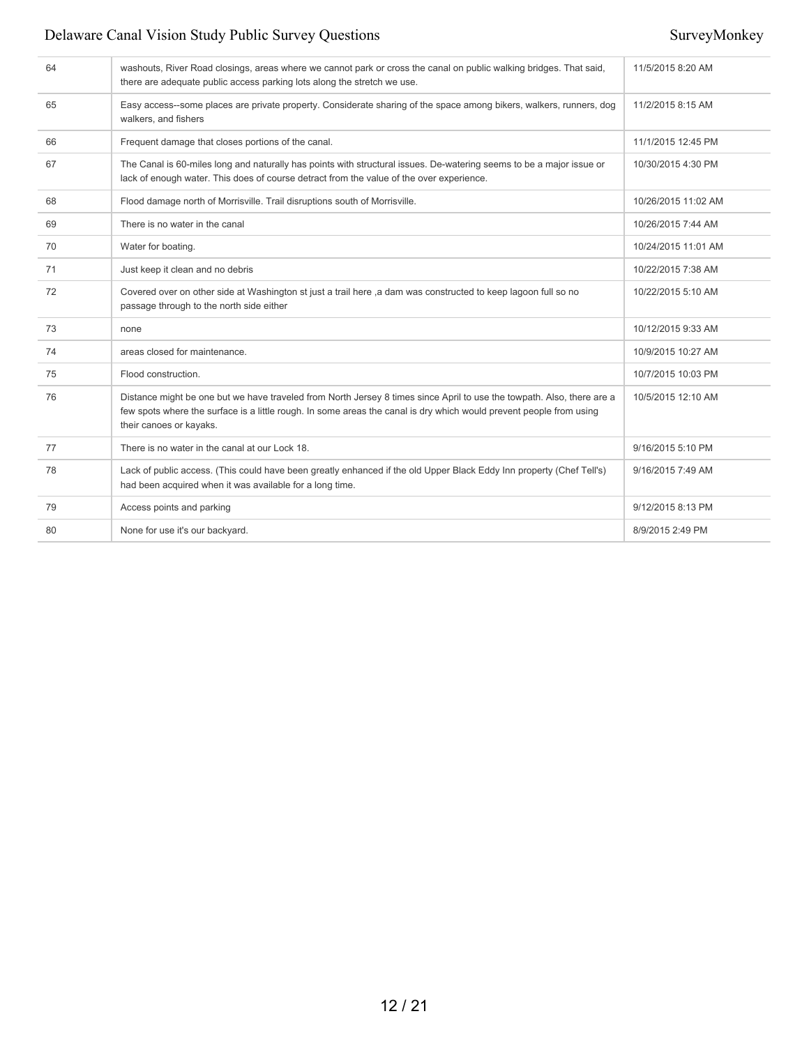| 64 | washouts, River Road closings, areas where we cannot park or cross the canal on public walking bridges. That said,<br>there are adequate public access parking lots along the stretch we use.                                                                            | 11/5/2015 8:20 AM   |
|----|--------------------------------------------------------------------------------------------------------------------------------------------------------------------------------------------------------------------------------------------------------------------------|---------------------|
| 65 | Easy access--some places are private property. Considerate sharing of the space among bikers, walkers, runners, dog<br>walkers, and fishers                                                                                                                              | 11/2/2015 8:15 AM   |
| 66 | Frequent damage that closes portions of the canal.                                                                                                                                                                                                                       | 11/1/2015 12:45 PM  |
| 67 | The Canal is 60-miles long and naturally has points with structural issues. De-watering seems to be a major issue or<br>lack of enough water. This does of course detract from the value of the over experience.                                                         | 10/30/2015 4:30 PM  |
| 68 | Flood damage north of Morrisville. Trail disruptions south of Morrisville.                                                                                                                                                                                               | 10/26/2015 11:02 AM |
| 69 | There is no water in the canal                                                                                                                                                                                                                                           | 10/26/2015 7:44 AM  |
| 70 | Water for boating.                                                                                                                                                                                                                                                       | 10/24/2015 11:01 AM |
| 71 | Just keep it clean and no debris                                                                                                                                                                                                                                         | 10/22/2015 7:38 AM  |
| 72 | Covered over on other side at Washington st just a trail here ,a dam was constructed to keep lagoon full so no<br>passage through to the north side either                                                                                                               | 10/22/2015 5:10 AM  |
| 73 | none                                                                                                                                                                                                                                                                     | 10/12/2015 9:33 AM  |
| 74 | areas closed for maintenance.                                                                                                                                                                                                                                            | 10/9/2015 10:27 AM  |
| 75 | Flood construction.                                                                                                                                                                                                                                                      | 10/7/2015 10:03 PM  |
| 76 | Distance might be one but we have traveled from North Jersey 8 times since April to use the towpath. Also, there are a<br>few spots where the surface is a little rough. In some areas the canal is dry which would prevent people from using<br>their canoes or kayaks. | 10/5/2015 12:10 AM  |
| 77 | There is no water in the canal at our Lock 18.                                                                                                                                                                                                                           | 9/16/2015 5:10 PM   |
| 78 | Lack of public access. (This could have been greatly enhanced if the old Upper Black Eddy Inn property (Chef Tell's)<br>had been acquired when it was available for a long time.                                                                                         | 9/16/2015 7:49 AM   |
| 79 | Access points and parking                                                                                                                                                                                                                                                | 9/12/2015 8:13 PM   |
| 80 | None for use it's our backyard.                                                                                                                                                                                                                                          | 8/9/2015 2:49 PM    |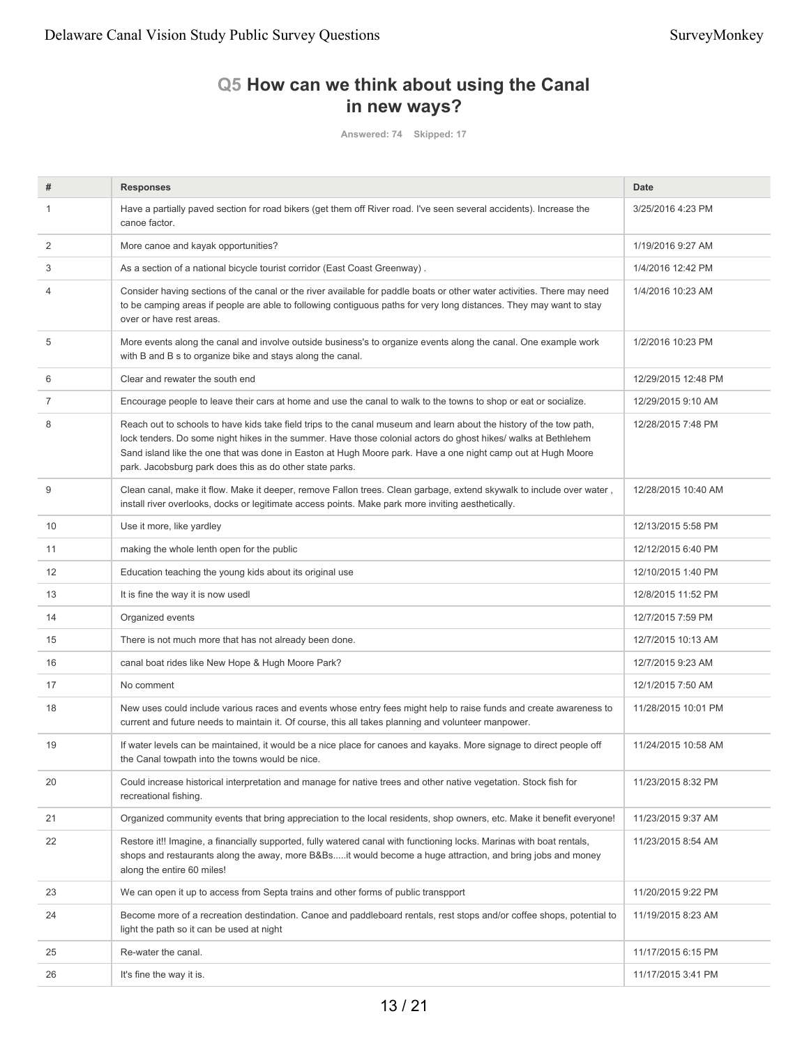# **Q5 How can we think about using the Canal in new ways?**

**Answered: 74 Skipped: 17**

| #  | <b>Responses</b>                                                                                                                                                                                                                                                                                                                                                                                                  | <b>Date</b>         |
|----|-------------------------------------------------------------------------------------------------------------------------------------------------------------------------------------------------------------------------------------------------------------------------------------------------------------------------------------------------------------------------------------------------------------------|---------------------|
| 1  | Have a partially paved section for road bikers (get them off River road. I've seen several accidents). Increase the<br>canoe factor.                                                                                                                                                                                                                                                                              | 3/25/2016 4:23 PM   |
| 2  | More canoe and kayak opportunities?                                                                                                                                                                                                                                                                                                                                                                               | 1/19/2016 9:27 AM   |
| 3  | As a section of a national bicycle tourist corridor (East Coast Greenway).                                                                                                                                                                                                                                                                                                                                        | 1/4/2016 12:42 PM   |
| 4  | Consider having sections of the canal or the river available for paddle boats or other water activities. There may need<br>to be camping areas if people are able to following contiguous paths for very long distances. They may want to stay<br>over or have rest areas.                                                                                                                                        | 1/4/2016 10:23 AM   |
| 5  | More events along the canal and involve outside business's to organize events along the canal. One example work<br>with B and B s to organize bike and stays along the canal.                                                                                                                                                                                                                                     | 1/2/2016 10:23 PM   |
| 6  | Clear and rewater the south end                                                                                                                                                                                                                                                                                                                                                                                   | 12/29/2015 12:48 PM |
| 7  | Encourage people to leave their cars at home and use the canal to walk to the towns to shop or eat or socialize.                                                                                                                                                                                                                                                                                                  | 12/29/2015 9:10 AM  |
| 8  | Reach out to schools to have kids take field trips to the canal museum and learn about the history of the tow path,<br>lock tenders. Do some night hikes in the summer. Have those colonial actors do ghost hikes/ walks at Bethlehem<br>Sand island like the one that was done in Easton at Hugh Moore park. Have a one night camp out at Hugh Moore<br>park. Jacobsburg park does this as do other state parks. | 12/28/2015 7:48 PM  |
| 9  | Clean canal, make it flow. Make it deeper, remove Fallon trees. Clean garbage, extend skywalk to include over water,<br>install river overlooks, docks or legitimate access points. Make park more inviting aesthetically.                                                                                                                                                                                        | 12/28/2015 10:40 AM |
| 10 | Use it more, like yardley                                                                                                                                                                                                                                                                                                                                                                                         | 12/13/2015 5:58 PM  |
| 11 | making the whole lenth open for the public                                                                                                                                                                                                                                                                                                                                                                        | 12/12/2015 6:40 PM  |
| 12 | Education teaching the young kids about its original use                                                                                                                                                                                                                                                                                                                                                          | 12/10/2015 1:40 PM  |
| 13 | It is fine the way it is now usedl                                                                                                                                                                                                                                                                                                                                                                                | 12/8/2015 11:52 PM  |
| 14 | Organized events                                                                                                                                                                                                                                                                                                                                                                                                  | 12/7/2015 7:59 PM   |
| 15 | There is not much more that has not already been done.                                                                                                                                                                                                                                                                                                                                                            | 12/7/2015 10:13 AM  |
| 16 | canal boat rides like New Hope & Hugh Moore Park?                                                                                                                                                                                                                                                                                                                                                                 | 12/7/2015 9:23 AM   |
| 17 | No comment                                                                                                                                                                                                                                                                                                                                                                                                        | 12/1/2015 7:50 AM   |
| 18 | New uses could include various races and events whose entry fees might help to raise funds and create awareness to<br>current and future needs to maintain it. Of course, this all takes planning and volunteer manpower.                                                                                                                                                                                         | 11/28/2015 10:01 PM |
| 19 | If water levels can be maintained, it would be a nice place for canoes and kayaks. More signage to direct people off<br>the Canal towpath into the towns would be nice.                                                                                                                                                                                                                                           | 11/24/2015 10:58 AM |
| 20 | Could increase historical interpretation and manage for native trees and other native vegetation. Stock fish for<br>recreational fishing.                                                                                                                                                                                                                                                                         | 11/23/2015 8:32 PM  |
| 21 | Organized community events that bring appreciation to the local residents, shop owners, etc. Make it benefit everyone!                                                                                                                                                                                                                                                                                            | 11/23/2015 9:37 AM  |
| 22 | Restore it!! Imagine, a financially supported, fully watered canal with functioning locks. Marinas with boat rentals,<br>shops and restaurants along the away, more B&Bsit would become a huge attraction, and bring jobs and money<br>along the entire 60 miles!                                                                                                                                                 | 11/23/2015 8:54 AM  |
| 23 | We can open it up to access from Septa trains and other forms of public transpport                                                                                                                                                                                                                                                                                                                                | 11/20/2015 9:22 PM  |
| 24 | Become more of a recreation destindation. Canoe and paddleboard rentals, rest stops and/or coffee shops, potential to<br>light the path so it can be used at night                                                                                                                                                                                                                                                | 11/19/2015 8:23 AM  |
| 25 | Re-water the canal.                                                                                                                                                                                                                                                                                                                                                                                               | 11/17/2015 6:15 PM  |
| 26 | It's fine the way it is.                                                                                                                                                                                                                                                                                                                                                                                          | 11/17/2015 3:41 PM  |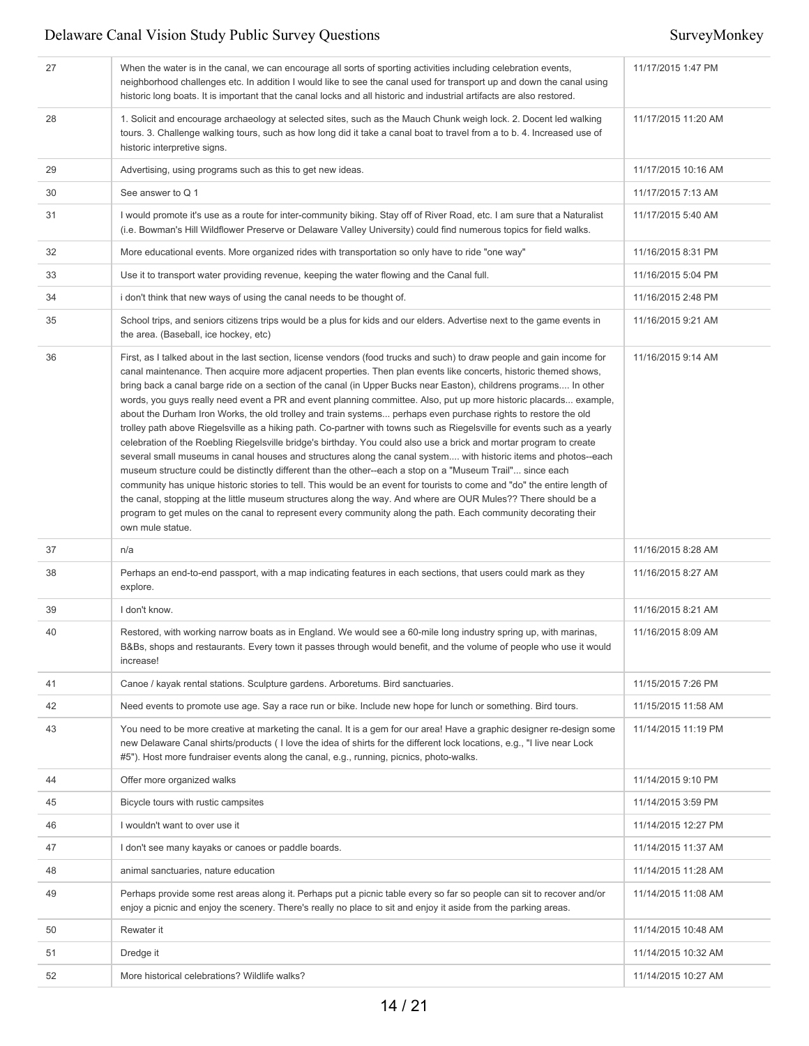| 27 | When the water is in the canal, we can encourage all sorts of sporting activities including celebration events,<br>neighborhood challenges etc. In addition I would like to see the canal used for transport up and down the canal using<br>historic long boats. It is important that the canal locks and all historic and industrial artifacts are also restored.                                                                                                                                                                                                                                                                                                                                                                                                                                                                                                                                                                                                                                                                                                                                                                                                                                                                                                                                                                                                                                                                                                              | 11/17/2015 1:47 PM  |
|----|---------------------------------------------------------------------------------------------------------------------------------------------------------------------------------------------------------------------------------------------------------------------------------------------------------------------------------------------------------------------------------------------------------------------------------------------------------------------------------------------------------------------------------------------------------------------------------------------------------------------------------------------------------------------------------------------------------------------------------------------------------------------------------------------------------------------------------------------------------------------------------------------------------------------------------------------------------------------------------------------------------------------------------------------------------------------------------------------------------------------------------------------------------------------------------------------------------------------------------------------------------------------------------------------------------------------------------------------------------------------------------------------------------------------------------------------------------------------------------|---------------------|
| 28 | 1. Solicit and encourage archaeology at selected sites, such as the Mauch Chunk weigh lock. 2. Docent led walking<br>tours. 3. Challenge walking tours, such as how long did it take a canal boat to travel from a to b. 4. Increased use of<br>historic interpretive signs.                                                                                                                                                                                                                                                                                                                                                                                                                                                                                                                                                                                                                                                                                                                                                                                                                                                                                                                                                                                                                                                                                                                                                                                                    | 11/17/2015 11:20 AM |
| 29 | Advertising, using programs such as this to get new ideas.                                                                                                                                                                                                                                                                                                                                                                                                                                                                                                                                                                                                                                                                                                                                                                                                                                                                                                                                                                                                                                                                                                                                                                                                                                                                                                                                                                                                                      | 11/17/2015 10:16 AM |
| 30 | See answer to Q 1                                                                                                                                                                                                                                                                                                                                                                                                                                                                                                                                                                                                                                                                                                                                                                                                                                                                                                                                                                                                                                                                                                                                                                                                                                                                                                                                                                                                                                                               | 11/17/2015 7:13 AM  |
| 31 | I would promote it's use as a route for inter-community biking. Stay off of River Road, etc. I am sure that a Naturalist<br>(i.e. Bowman's Hill Wildflower Preserve or Delaware Valley University) could find numerous topics for field walks.                                                                                                                                                                                                                                                                                                                                                                                                                                                                                                                                                                                                                                                                                                                                                                                                                                                                                                                                                                                                                                                                                                                                                                                                                                  | 11/17/2015 5:40 AM  |
| 32 | More educational events. More organized rides with transportation so only have to ride "one way"                                                                                                                                                                                                                                                                                                                                                                                                                                                                                                                                                                                                                                                                                                                                                                                                                                                                                                                                                                                                                                                                                                                                                                                                                                                                                                                                                                                | 11/16/2015 8:31 PM  |
| 33 | Use it to transport water providing revenue, keeping the water flowing and the Canal full.                                                                                                                                                                                                                                                                                                                                                                                                                                                                                                                                                                                                                                                                                                                                                                                                                                                                                                                                                                                                                                                                                                                                                                                                                                                                                                                                                                                      | 11/16/2015 5:04 PM  |
| 34 | i don't think that new ways of using the canal needs to be thought of.                                                                                                                                                                                                                                                                                                                                                                                                                                                                                                                                                                                                                                                                                                                                                                                                                                                                                                                                                                                                                                                                                                                                                                                                                                                                                                                                                                                                          | 11/16/2015 2:48 PM  |
| 35 | School trips, and seniors citizens trips would be a plus for kids and our elders. Advertise next to the game events in<br>the area. (Baseball, ice hockey, etc)                                                                                                                                                                                                                                                                                                                                                                                                                                                                                                                                                                                                                                                                                                                                                                                                                                                                                                                                                                                                                                                                                                                                                                                                                                                                                                                 | 11/16/2015 9:21 AM  |
| 36 | First, as I talked about in the last section, license vendors (food trucks and such) to draw people and gain income for<br>canal maintenance. Then acquire more adjacent properties. Then plan events like concerts, historic themed shows,<br>bring back a canal barge ride on a section of the canal (in Upper Bucks near Easton), childrens programs In other<br>words, you guys really need event a PR and event planning committee. Also, put up more historic placards example,<br>about the Durham Iron Works, the old trolley and train systems perhaps even purchase rights to restore the old<br>trolley path above Riegelsville as a hiking path. Co-partner with towns such as Riegelsville for events such as a yearly<br>celebration of the Roebling Riegelsville bridge's birthday. You could also use a brick and mortar program to create<br>several small museums in canal houses and structures along the canal system with historic items and photos--each<br>museum structure could be distinctly different than the other--each a stop on a "Museum Trail" since each<br>community has unique historic stories to tell. This would be an event for tourists to come and "do" the entire length of<br>the canal, stopping at the little museum structures along the way. And where are OUR Mules?? There should be a<br>program to get mules on the canal to represent every community along the path. Each community decorating their<br>own mule statue. | 11/16/2015 9:14 AM  |
| 37 | n/a                                                                                                                                                                                                                                                                                                                                                                                                                                                                                                                                                                                                                                                                                                                                                                                                                                                                                                                                                                                                                                                                                                                                                                                                                                                                                                                                                                                                                                                                             | 11/16/2015 8:28 AM  |
| 38 | Perhaps an end-to-end passport, with a map indicating features in each sections, that users could mark as they<br>explore.                                                                                                                                                                                                                                                                                                                                                                                                                                                                                                                                                                                                                                                                                                                                                                                                                                                                                                                                                                                                                                                                                                                                                                                                                                                                                                                                                      | 11/16/2015 8:27 AM  |
| 39 | I don't know.                                                                                                                                                                                                                                                                                                                                                                                                                                                                                                                                                                                                                                                                                                                                                                                                                                                                                                                                                                                                                                                                                                                                                                                                                                                                                                                                                                                                                                                                   | 11/16/2015 8:21 AM  |
| 40 | Restored, with working narrow boats as in England. We would see a 60-mile long industry spring up, with marinas,<br>B&Bs, shops and restaurants. Every town it passes through would benefit, and the volume of people who use it would<br>increase!                                                                                                                                                                                                                                                                                                                                                                                                                                                                                                                                                                                                                                                                                                                                                                                                                                                                                                                                                                                                                                                                                                                                                                                                                             | 11/16/2015 8:09 AM  |
| 41 | Canoe / kayak rental stations. Sculpture gardens. Arboretums. Bird sanctuaries.                                                                                                                                                                                                                                                                                                                                                                                                                                                                                                                                                                                                                                                                                                                                                                                                                                                                                                                                                                                                                                                                                                                                                                                                                                                                                                                                                                                                 | 11/15/2015 7:26 PM  |
| 42 | Need events to promote use age. Say a race run or bike. Include new hope for lunch or something. Bird tours.                                                                                                                                                                                                                                                                                                                                                                                                                                                                                                                                                                                                                                                                                                                                                                                                                                                                                                                                                                                                                                                                                                                                                                                                                                                                                                                                                                    | 11/15/2015 11:58 AM |
| 43 | You need to be more creative at marketing the canal. It is a gem for our area! Have a graphic designer re-design some<br>new Delaware Canal shirts/products (I love the idea of shirts for the different lock locations, e.g., "I live near Lock<br>#5"). Host more fundraiser events along the canal, e.g., running, picnics, photo-walks.                                                                                                                                                                                                                                                                                                                                                                                                                                                                                                                                                                                                                                                                                                                                                                                                                                                                                                                                                                                                                                                                                                                                     | 11/14/2015 11:19 PM |
| 44 | Offer more organized walks                                                                                                                                                                                                                                                                                                                                                                                                                                                                                                                                                                                                                                                                                                                                                                                                                                                                                                                                                                                                                                                                                                                                                                                                                                                                                                                                                                                                                                                      | 11/14/2015 9:10 PM  |
| 45 | Bicycle tours with rustic campsites                                                                                                                                                                                                                                                                                                                                                                                                                                                                                                                                                                                                                                                                                                                                                                                                                                                                                                                                                                                                                                                                                                                                                                                                                                                                                                                                                                                                                                             | 11/14/2015 3:59 PM  |
| 46 | I wouldn't want to over use it                                                                                                                                                                                                                                                                                                                                                                                                                                                                                                                                                                                                                                                                                                                                                                                                                                                                                                                                                                                                                                                                                                                                                                                                                                                                                                                                                                                                                                                  | 11/14/2015 12:27 PM |
| 47 | I don't see many kayaks or canoes or paddle boards.                                                                                                                                                                                                                                                                                                                                                                                                                                                                                                                                                                                                                                                                                                                                                                                                                                                                                                                                                                                                                                                                                                                                                                                                                                                                                                                                                                                                                             | 11/14/2015 11:37 AM |
| 48 | animal sanctuaries, nature education                                                                                                                                                                                                                                                                                                                                                                                                                                                                                                                                                                                                                                                                                                                                                                                                                                                                                                                                                                                                                                                                                                                                                                                                                                                                                                                                                                                                                                            | 11/14/2015 11:28 AM |
| 49 | Perhaps provide some rest areas along it. Perhaps put a picnic table every so far so people can sit to recover and/or<br>enjoy a picnic and enjoy the scenery. There's really no place to sit and enjoy it aside from the parking areas.                                                                                                                                                                                                                                                                                                                                                                                                                                                                                                                                                                                                                                                                                                                                                                                                                                                                                                                                                                                                                                                                                                                                                                                                                                        | 11/14/2015 11:08 AM |
| 50 | Rewater it                                                                                                                                                                                                                                                                                                                                                                                                                                                                                                                                                                                                                                                                                                                                                                                                                                                                                                                                                                                                                                                                                                                                                                                                                                                                                                                                                                                                                                                                      | 11/14/2015 10:48 AM |
| 51 | Dredge it                                                                                                                                                                                                                                                                                                                                                                                                                                                                                                                                                                                                                                                                                                                                                                                                                                                                                                                                                                                                                                                                                                                                                                                                                                                                                                                                                                                                                                                                       | 11/14/2015 10:32 AM |
| 52 | More historical celebrations? Wildlife walks?                                                                                                                                                                                                                                                                                                                                                                                                                                                                                                                                                                                                                                                                                                                                                                                                                                                                                                                                                                                                                                                                                                                                                                                                                                                                                                                                                                                                                                   | 11/14/2015 10:27 AM |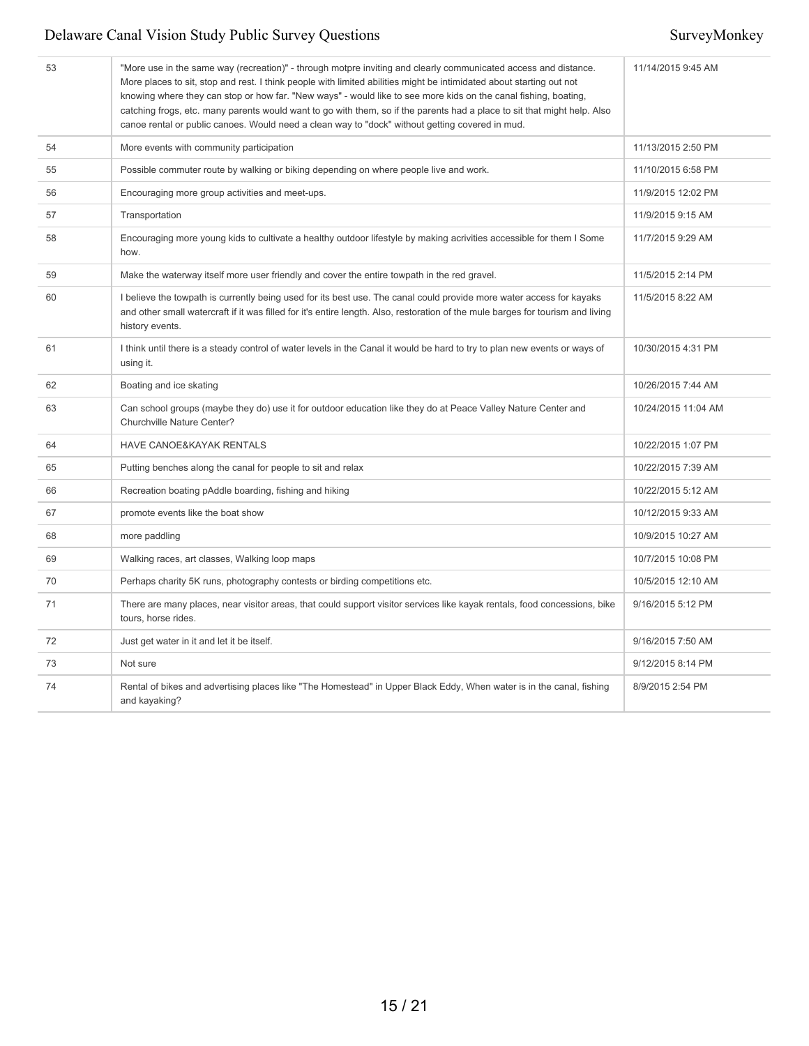| 53 | "More use in the same way (recreation)" - through motpre inviting and clearly communicated access and distance.<br>More places to sit, stop and rest. I think people with limited abilities might be intimidated about starting out not<br>knowing where they can stop or how far. "New ways" - would like to see more kids on the canal fishing, boating,<br>catching frogs, etc. many parents would want to go with them, so if the parents had a place to sit that might help. Also<br>canoe rental or public canoes. Would need a clean way to "dock" without getting covered in mud. | 11/14/2015 9:45 AM  |
|----|-------------------------------------------------------------------------------------------------------------------------------------------------------------------------------------------------------------------------------------------------------------------------------------------------------------------------------------------------------------------------------------------------------------------------------------------------------------------------------------------------------------------------------------------------------------------------------------------|---------------------|
| 54 | More events with community participation                                                                                                                                                                                                                                                                                                                                                                                                                                                                                                                                                  | 11/13/2015 2:50 PM  |
| 55 | Possible commuter route by walking or biking depending on where people live and work.                                                                                                                                                                                                                                                                                                                                                                                                                                                                                                     | 11/10/2015 6:58 PM  |
| 56 | Encouraging more group activities and meet-ups.                                                                                                                                                                                                                                                                                                                                                                                                                                                                                                                                           | 11/9/2015 12:02 PM  |
| 57 | Transportation                                                                                                                                                                                                                                                                                                                                                                                                                                                                                                                                                                            | 11/9/2015 9:15 AM   |
| 58 | Encouraging more young kids to cultivate a healthy outdoor lifestyle by making acrivities accessible for them I Some<br>how.                                                                                                                                                                                                                                                                                                                                                                                                                                                              | 11/7/2015 9:29 AM   |
| 59 | Make the waterway itself more user friendly and cover the entire towpath in the red gravel.                                                                                                                                                                                                                                                                                                                                                                                                                                                                                               | 11/5/2015 2:14 PM   |
| 60 | I believe the towpath is currently being used for its best use. The canal could provide more water access for kayaks<br>and other small watercraft if it was filled for it's entire length. Also, restoration of the mule barges for tourism and living<br>history events.                                                                                                                                                                                                                                                                                                                | 11/5/2015 8:22 AM   |
| 61 | I think until there is a steady control of water levels in the Canal it would be hard to try to plan new events or ways of<br>using it.                                                                                                                                                                                                                                                                                                                                                                                                                                                   | 10/30/2015 4:31 PM  |
| 62 | Boating and ice skating                                                                                                                                                                                                                                                                                                                                                                                                                                                                                                                                                                   | 10/26/2015 7:44 AM  |
| 63 | Can school groups (maybe they do) use it for outdoor education like they do at Peace Valley Nature Center and<br>Churchville Nature Center?                                                                                                                                                                                                                                                                                                                                                                                                                                               | 10/24/2015 11:04 AM |
| 64 | HAVE CANOE&KAYAK RENTALS                                                                                                                                                                                                                                                                                                                                                                                                                                                                                                                                                                  | 10/22/2015 1:07 PM  |
| 65 | Putting benches along the canal for people to sit and relax                                                                                                                                                                                                                                                                                                                                                                                                                                                                                                                               | 10/22/2015 7:39 AM  |
| 66 | Recreation boating pAddle boarding, fishing and hiking                                                                                                                                                                                                                                                                                                                                                                                                                                                                                                                                    | 10/22/2015 5:12 AM  |
| 67 | promote events like the boat show                                                                                                                                                                                                                                                                                                                                                                                                                                                                                                                                                         | 10/12/2015 9:33 AM  |
| 68 | more paddling                                                                                                                                                                                                                                                                                                                                                                                                                                                                                                                                                                             | 10/9/2015 10:27 AM  |
| 69 | Walking races, art classes, Walking loop maps                                                                                                                                                                                                                                                                                                                                                                                                                                                                                                                                             | 10/7/2015 10:08 PM  |
| 70 | Perhaps charity 5K runs, photography contests or birding competitions etc.                                                                                                                                                                                                                                                                                                                                                                                                                                                                                                                | 10/5/2015 12:10 AM  |
| 71 | There are many places, near visitor areas, that could support visitor services like kayak rentals, food concessions, bike<br>tours, horse rides.                                                                                                                                                                                                                                                                                                                                                                                                                                          | 9/16/2015 5:12 PM   |
| 72 | Just get water in it and let it be itself.                                                                                                                                                                                                                                                                                                                                                                                                                                                                                                                                                | 9/16/2015 7:50 AM   |
| 73 | Not sure                                                                                                                                                                                                                                                                                                                                                                                                                                                                                                                                                                                  | 9/12/2015 8:14 PM   |
| 74 | Rental of bikes and advertising places like "The Homestead" in Upper Black Eddy, When water is in the canal, fishing<br>and kayaking?                                                                                                                                                                                                                                                                                                                                                                                                                                                     | 8/9/2015 2:54 PM    |
|    |                                                                                                                                                                                                                                                                                                                                                                                                                                                                                                                                                                                           |                     |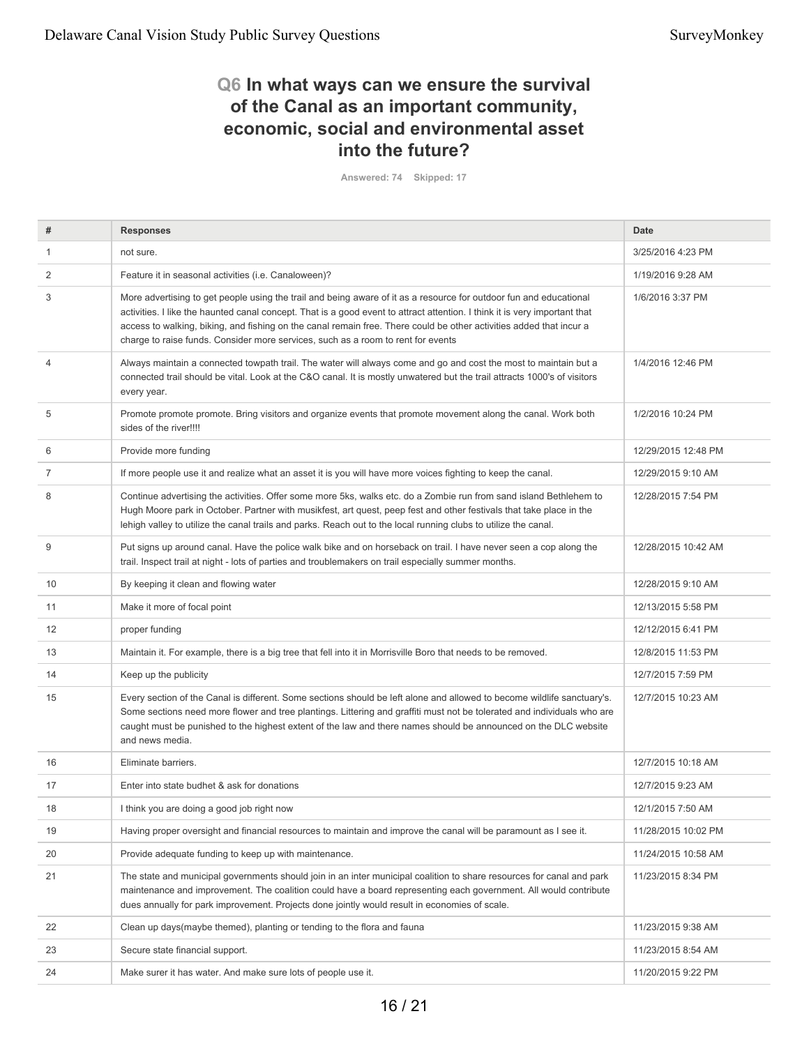## **Q6 In what ways can we ensure the survival of the Canal as an important community, economic, social and environmental asset into the future?**

**Answered: 74 Skipped: 17**

| #              | <b>Responses</b>                                                                                                                                                                                                                                                                                                                                                                                                                                            | <b>Date</b>         |
|----------------|-------------------------------------------------------------------------------------------------------------------------------------------------------------------------------------------------------------------------------------------------------------------------------------------------------------------------------------------------------------------------------------------------------------------------------------------------------------|---------------------|
| $\mathbf{1}$   | not sure.                                                                                                                                                                                                                                                                                                                                                                                                                                                   | 3/25/2016 4:23 PM   |
| 2              | Feature it in seasonal activities (i.e. Canaloween)?                                                                                                                                                                                                                                                                                                                                                                                                        | 1/19/2016 9:28 AM   |
| 3              | More advertising to get people using the trail and being aware of it as a resource for outdoor fun and educational<br>activities. I like the haunted canal concept. That is a good event to attract attention. I think it is very important that<br>access to walking, biking, and fishing on the canal remain free. There could be other activities added that incur a<br>charge to raise funds. Consider more services, such as a room to rent for events | 1/6/2016 3:37 PM    |
| $\overline{4}$ | Always maintain a connected towpath trail. The water will always come and go and cost the most to maintain but a<br>connected trail should be vital. Look at the C&O canal. It is mostly unwatered but the trail attracts 1000's of visitors<br>every year.                                                                                                                                                                                                 | 1/4/2016 12:46 PM   |
| 5              | Promote promote promote. Bring visitors and organize events that promote movement along the canal. Work both<br>sides of the river!!!!                                                                                                                                                                                                                                                                                                                      | 1/2/2016 10:24 PM   |
| 6              | Provide more funding                                                                                                                                                                                                                                                                                                                                                                                                                                        | 12/29/2015 12:48 PM |
| $\overline{7}$ | If more people use it and realize what an asset it is you will have more voices fighting to keep the canal.                                                                                                                                                                                                                                                                                                                                                 | 12/29/2015 9:10 AM  |
| 8              | Continue advertising the activities. Offer some more 5ks, walks etc. do a Zombie run from sand island Bethlehem to<br>Hugh Moore park in October. Partner with musikfest, art quest, peep fest and other festivals that take place in the<br>lehigh valley to utilize the canal trails and parks. Reach out to the local running clubs to utilize the canal.                                                                                                | 12/28/2015 7:54 PM  |
| 9              | Put signs up around canal. Have the police walk bike and on horseback on trail. I have never seen a cop along the<br>trail. Inspect trail at night - lots of parties and troublemakers on trail especially summer months.                                                                                                                                                                                                                                   | 12/28/2015 10:42 AM |
| 10             | By keeping it clean and flowing water                                                                                                                                                                                                                                                                                                                                                                                                                       | 12/28/2015 9:10 AM  |
| 11             | Make it more of focal point                                                                                                                                                                                                                                                                                                                                                                                                                                 | 12/13/2015 5:58 PM  |
| 12             | proper funding                                                                                                                                                                                                                                                                                                                                                                                                                                              | 12/12/2015 6:41 PM  |
| 13             | Maintain it. For example, there is a big tree that fell into it in Morrisville Boro that needs to be removed.                                                                                                                                                                                                                                                                                                                                               | 12/8/2015 11:53 PM  |
| 14             | Keep up the publicity                                                                                                                                                                                                                                                                                                                                                                                                                                       | 12/7/2015 7:59 PM   |
| 15             | Every section of the Canal is different. Some sections should be left alone and allowed to become wildlife sanctuary's.<br>Some sections need more flower and tree plantings. Littering and graffiti must not be tolerated and individuals who are<br>caught must be punished to the highest extent of the law and there names should be announced on the DLC website<br>and news media.                                                                    | 12/7/2015 10:23 AM  |
| 16             | Eliminate barriers.                                                                                                                                                                                                                                                                                                                                                                                                                                         | 12/7/2015 10:18 AM  |
| 17             | Enter into state budhet & ask for donations                                                                                                                                                                                                                                                                                                                                                                                                                 | 12/7/2015 9:23 AM   |
| 18             | I think you are doing a good job right now                                                                                                                                                                                                                                                                                                                                                                                                                  | 12/1/2015 7:50 AM   |
| 19             | Having proper oversight and financial resources to maintain and improve the canal will be paramount as I see it.                                                                                                                                                                                                                                                                                                                                            | 11/28/2015 10:02 PM |
| 20             | Provide adequate funding to keep up with maintenance.                                                                                                                                                                                                                                                                                                                                                                                                       | 11/24/2015 10:58 AM |
| 21             | The state and municipal governments should join in an inter municipal coalition to share resources for canal and park<br>maintenance and improvement. The coalition could have a board representing each government. All would contribute<br>dues annually for park improvement. Projects done jointly would result in economies of scale.                                                                                                                  | 11/23/2015 8:34 PM  |
| 22             | Clean up days (maybe themed), planting or tending to the flora and fauna                                                                                                                                                                                                                                                                                                                                                                                    | 11/23/2015 9:38 AM  |
| 23             | Secure state financial support.                                                                                                                                                                                                                                                                                                                                                                                                                             | 11/23/2015 8:54 AM  |
| 24             | Make surer it has water. And make sure lots of people use it.                                                                                                                                                                                                                                                                                                                                                                                               | 11/20/2015 9:22 PM  |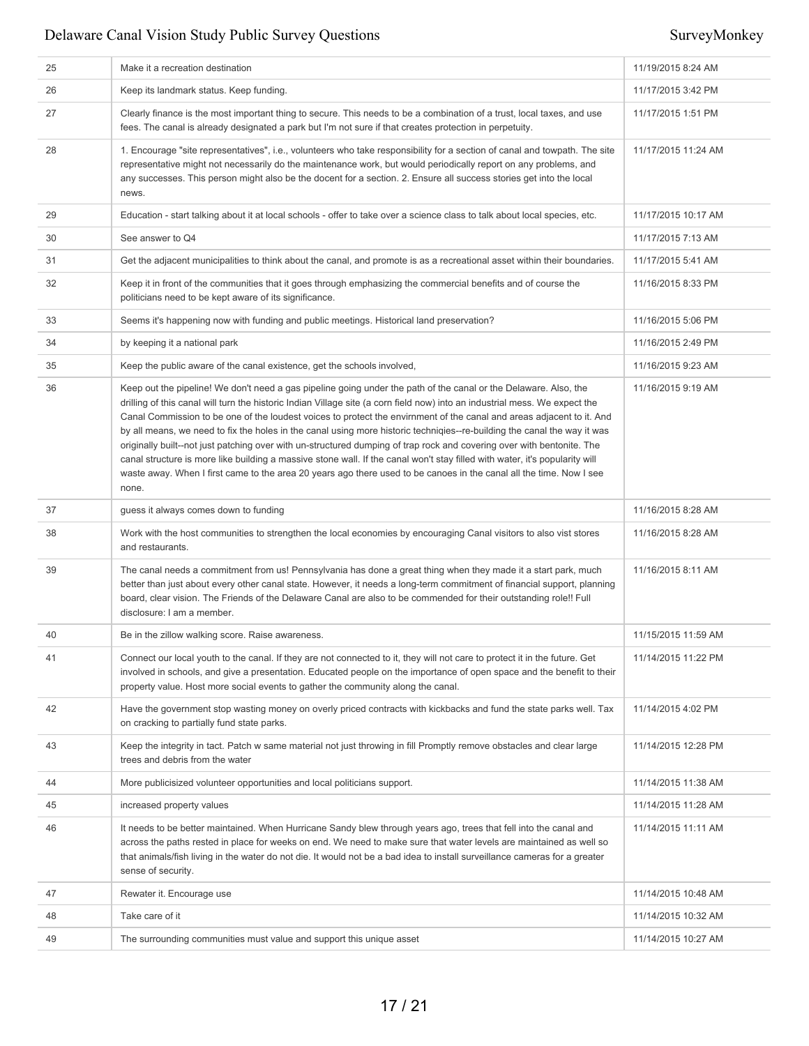| 25 | Make it a recreation destination                                                                                                                                                                                                                                                                                                                                                                                                                                                                                                                                                                                                                                                                                                                                                                                                                                                              | 11/19/2015 8:24 AM  |
|----|-----------------------------------------------------------------------------------------------------------------------------------------------------------------------------------------------------------------------------------------------------------------------------------------------------------------------------------------------------------------------------------------------------------------------------------------------------------------------------------------------------------------------------------------------------------------------------------------------------------------------------------------------------------------------------------------------------------------------------------------------------------------------------------------------------------------------------------------------------------------------------------------------|---------------------|
| 26 | Keep its landmark status. Keep funding.                                                                                                                                                                                                                                                                                                                                                                                                                                                                                                                                                                                                                                                                                                                                                                                                                                                       | 11/17/2015 3:42 PM  |
| 27 | Clearly finance is the most important thing to secure. This needs to be a combination of a trust, local taxes, and use<br>fees. The canal is already designated a park but I'm not sure if that creates protection in perpetuity.                                                                                                                                                                                                                                                                                                                                                                                                                                                                                                                                                                                                                                                             | 11/17/2015 1:51 PM  |
| 28 | 1. Encourage "site representatives", i.e., volunteers who take responsibility for a section of canal and towpath. The site<br>representative might not necessarily do the maintenance work, but would periodically report on any problems, and<br>any successes. This person might also be the docent for a section. 2. Ensure all success stories get into the local<br>news.                                                                                                                                                                                                                                                                                                                                                                                                                                                                                                                | 11/17/2015 11:24 AM |
| 29 | Education - start talking about it at local schools - offer to take over a science class to talk about local species, etc.                                                                                                                                                                                                                                                                                                                                                                                                                                                                                                                                                                                                                                                                                                                                                                    | 11/17/2015 10:17 AM |
| 30 | See answer to Q4                                                                                                                                                                                                                                                                                                                                                                                                                                                                                                                                                                                                                                                                                                                                                                                                                                                                              | 11/17/2015 7:13 AM  |
| 31 | Get the adjacent municipalities to think about the canal, and promote is as a recreational asset within their boundaries.                                                                                                                                                                                                                                                                                                                                                                                                                                                                                                                                                                                                                                                                                                                                                                     | 11/17/2015 5:41 AM  |
| 32 | Keep it in front of the communities that it goes through emphasizing the commercial benefits and of course the<br>politicians need to be kept aware of its significance.                                                                                                                                                                                                                                                                                                                                                                                                                                                                                                                                                                                                                                                                                                                      | 11/16/2015 8:33 PM  |
| 33 | Seems it's happening now with funding and public meetings. Historical land preservation?                                                                                                                                                                                                                                                                                                                                                                                                                                                                                                                                                                                                                                                                                                                                                                                                      | 11/16/2015 5:06 PM  |
| 34 | by keeping it a national park                                                                                                                                                                                                                                                                                                                                                                                                                                                                                                                                                                                                                                                                                                                                                                                                                                                                 | 11/16/2015 2:49 PM  |
| 35 | Keep the public aware of the canal existence, get the schools involved,                                                                                                                                                                                                                                                                                                                                                                                                                                                                                                                                                                                                                                                                                                                                                                                                                       | 11/16/2015 9:23 AM  |
| 36 | Keep out the pipeline! We don't need a gas pipeline going under the path of the canal or the Delaware. Also, the<br>drilling of this canal will turn the historic Indian Village site (a corn field now) into an industrial mess. We expect the<br>Canal Commission to be one of the loudest voices to protect the envirnment of the canal and areas adjacent to it. And<br>by all means, we need to fix the holes in the canal using more historic techniqies--re-building the canal the way it was<br>originally built--not just patching over with un-structured dumping of trap rock and covering over with bentonite. The<br>canal structure is more like building a massive stone wall. If the canal won't stay filled with water, it's popularity will<br>waste away. When I first came to the area 20 years ago there used to be canoes in the canal all the time. Now I see<br>none. | 11/16/2015 9:19 AM  |
| 37 | guess it always comes down to funding                                                                                                                                                                                                                                                                                                                                                                                                                                                                                                                                                                                                                                                                                                                                                                                                                                                         | 11/16/2015 8:28 AM  |
| 38 | Work with the host communities to strengthen the local economies by encouraging Canal visitors to also vist stores                                                                                                                                                                                                                                                                                                                                                                                                                                                                                                                                                                                                                                                                                                                                                                            | 11/16/2015 8:28 AM  |
|    | and restaurants.                                                                                                                                                                                                                                                                                                                                                                                                                                                                                                                                                                                                                                                                                                                                                                                                                                                                              |                     |
| 39 | The canal needs a commitment from us! Pennsylvania has done a great thing when they made it a start park, much<br>better than just about every other canal state. However, it needs a long-term commitment of financial support, planning<br>board, clear vision. The Friends of the Delaware Canal are also to be commended for their outstanding role!! Full<br>disclosure: I am a member.                                                                                                                                                                                                                                                                                                                                                                                                                                                                                                  | 11/16/2015 8:11 AM  |
| 40 | Be in the zillow walking score. Raise awareness.                                                                                                                                                                                                                                                                                                                                                                                                                                                                                                                                                                                                                                                                                                                                                                                                                                              | 11/15/2015 11:59 AM |
| 41 | Connect our local youth to the canal. If they are not connected to it, they will not care to protect it in the future. Get<br>involved in schools, and give a presentation. Educated people on the importance of open space and the benefit to their<br>property value. Host more social events to gather the community along the canal.                                                                                                                                                                                                                                                                                                                                                                                                                                                                                                                                                      | 11/14/2015 11:22 PM |
| 42 | Have the government stop wasting money on overly priced contracts with kickbacks and fund the state parks well. Tax<br>on cracking to partially fund state parks.                                                                                                                                                                                                                                                                                                                                                                                                                                                                                                                                                                                                                                                                                                                             | 11/14/2015 4:02 PM  |
| 43 | Keep the integrity in tact. Patch w same material not just throwing in fill Promptly remove obstacles and clear large<br>trees and debris from the water                                                                                                                                                                                                                                                                                                                                                                                                                                                                                                                                                                                                                                                                                                                                      | 11/14/2015 12:28 PM |
| 44 | More publicisized volunteer opportunities and local politicians support.                                                                                                                                                                                                                                                                                                                                                                                                                                                                                                                                                                                                                                                                                                                                                                                                                      | 11/14/2015 11:38 AM |
| 45 | increased property values                                                                                                                                                                                                                                                                                                                                                                                                                                                                                                                                                                                                                                                                                                                                                                                                                                                                     | 11/14/2015 11:28 AM |
| 46 | It needs to be better maintained. When Hurricane Sandy blew through years ago, trees that fell into the canal and<br>across the paths rested in place for weeks on end. We need to make sure that water levels are maintained as well so<br>that animals/fish living in the water do not die. It would not be a bad idea to install surveillance cameras for a greater<br>sense of security.                                                                                                                                                                                                                                                                                                                                                                                                                                                                                                  | 11/14/2015 11:11 AM |
| 47 | Rewater it. Encourage use                                                                                                                                                                                                                                                                                                                                                                                                                                                                                                                                                                                                                                                                                                                                                                                                                                                                     | 11/14/2015 10:48 AM |
| 48 | Take care of it                                                                                                                                                                                                                                                                                                                                                                                                                                                                                                                                                                                                                                                                                                                                                                                                                                                                               | 11/14/2015 10:32 AM |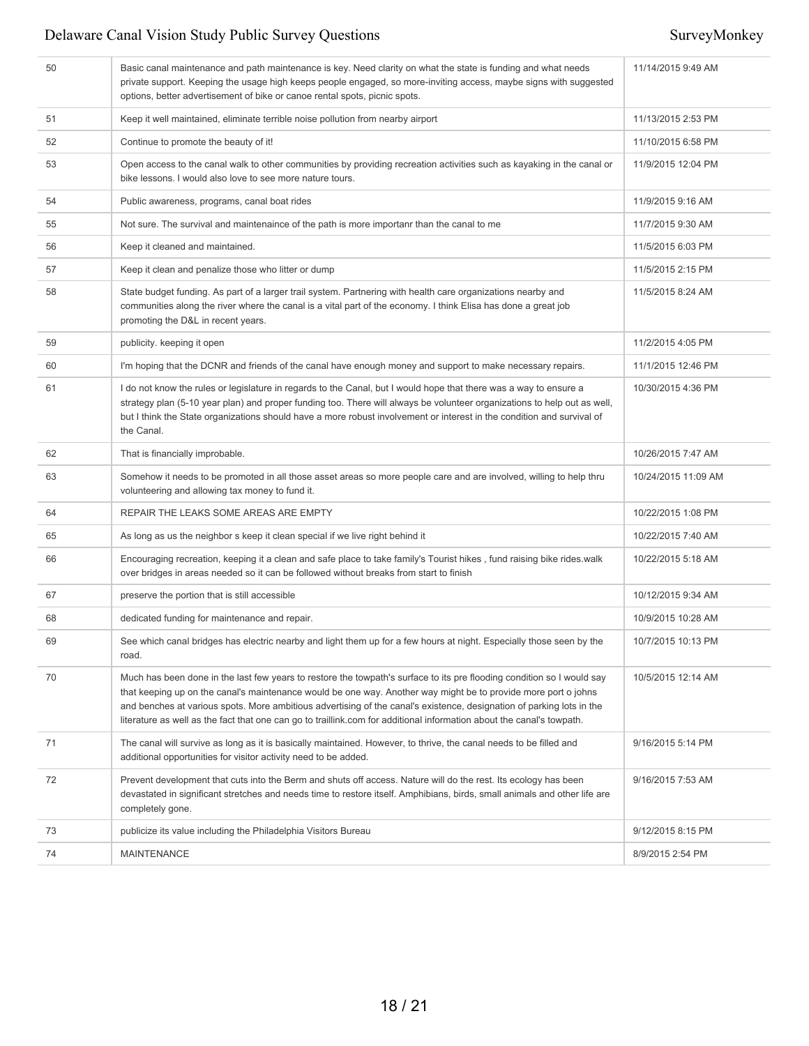| 50 | Basic canal maintenance and path maintenance is key. Need clarity on what the state is funding and what needs<br>private support. Keeping the usage high keeps people engaged, so more-inviting access, maybe signs with suggested<br>options, better advertisement of bike or canoe rental spots, picnic spots.                                                                                                                                                                           | 11/14/2015 9:49 AM  |
|----|--------------------------------------------------------------------------------------------------------------------------------------------------------------------------------------------------------------------------------------------------------------------------------------------------------------------------------------------------------------------------------------------------------------------------------------------------------------------------------------------|---------------------|
| 51 | Keep it well maintained, eliminate terrible noise pollution from nearby airport                                                                                                                                                                                                                                                                                                                                                                                                            | 11/13/2015 2:53 PM  |
| 52 | Continue to promote the beauty of it!                                                                                                                                                                                                                                                                                                                                                                                                                                                      | 11/10/2015 6:58 PM  |
| 53 | Open access to the canal walk to other communities by providing recreation activities such as kayaking in the canal or<br>bike lessons. I would also love to see more nature tours.                                                                                                                                                                                                                                                                                                        | 11/9/2015 12:04 PM  |
| 54 | Public awareness, programs, canal boat rides                                                                                                                                                                                                                                                                                                                                                                                                                                               | 11/9/2015 9:16 AM   |
| 55 | Not sure. The survival and maintenaince of the path is more importanr than the canal to me                                                                                                                                                                                                                                                                                                                                                                                                 | 11/7/2015 9:30 AM   |
| 56 | Keep it cleaned and maintained.                                                                                                                                                                                                                                                                                                                                                                                                                                                            | 11/5/2015 6:03 PM   |
| 57 | Keep it clean and penalize those who litter or dump                                                                                                                                                                                                                                                                                                                                                                                                                                        | 11/5/2015 2:15 PM   |
| 58 | State budget funding. As part of a larger trail system. Partnering with health care organizations nearby and<br>communities along the river where the canal is a vital part of the economy. I think Elisa has done a great job<br>promoting the D&L in recent years.                                                                                                                                                                                                                       | 11/5/2015 8:24 AM   |
| 59 | publicity. keeping it open                                                                                                                                                                                                                                                                                                                                                                                                                                                                 | 11/2/2015 4:05 PM   |
| 60 | I'm hoping that the DCNR and friends of the canal have enough money and support to make necessary repairs.                                                                                                                                                                                                                                                                                                                                                                                 | 11/1/2015 12:46 PM  |
| 61 | I do not know the rules or legislature in regards to the Canal, but I would hope that there was a way to ensure a<br>strategy plan (5-10 year plan) and proper funding too. There will always be volunteer organizations to help out as well,<br>but I think the State organizations should have a more robust involvement or interest in the condition and survival of<br>the Canal.                                                                                                      | 10/30/2015 4:36 PM  |
| 62 | That is financially improbable.                                                                                                                                                                                                                                                                                                                                                                                                                                                            | 10/26/2015 7:47 AM  |
| 63 | Somehow it needs to be promoted in all those asset areas so more people care and are involved, willing to help thru<br>volunteering and allowing tax money to fund it.                                                                                                                                                                                                                                                                                                                     | 10/24/2015 11:09 AM |
| 64 | REPAIR THE LEAKS SOME AREAS ARE EMPTY                                                                                                                                                                                                                                                                                                                                                                                                                                                      | 10/22/2015 1:08 PM  |
| 65 | As long as us the neighbor s keep it clean special if we live right behind it                                                                                                                                                                                                                                                                                                                                                                                                              | 10/22/2015 7:40 AM  |
| 66 | Encouraging recreation, keeping it a clean and safe place to take family's Tourist hikes, fund raising bike rides.walk<br>over bridges in areas needed so it can be followed without breaks from start to finish                                                                                                                                                                                                                                                                           | 10/22/2015 5:18 AM  |
| 67 | preserve the portion that is still accessible                                                                                                                                                                                                                                                                                                                                                                                                                                              | 10/12/2015 9:34 AM  |
| 68 | dedicated funding for maintenance and repair.                                                                                                                                                                                                                                                                                                                                                                                                                                              | 10/9/2015 10:28 AM  |
| 69 | See which canal bridges has electric nearby and light them up for a few hours at night. Especially those seen by the<br>road.                                                                                                                                                                                                                                                                                                                                                              | 10/7/2015 10:13 PM  |
| 70 | Much has been done in the last few years to restore the towpath's surface to its pre flooding condition so I would say<br>that keeping up on the canal's maintenance would be one way. Another way might be to provide more port o johns<br>and benches at various spots. More ambitious advertising of the canal's existence, designation of parking lots in the<br>literature as well as the fact that one can go to traillink.com for additional information about the canal's towpath. | 10/5/2015 12:14 AM  |
| 71 | The canal will survive as long as it is basically maintained. However, to thrive, the canal needs to be filled and<br>additional opportunities for visitor activity need to be added.                                                                                                                                                                                                                                                                                                      | 9/16/2015 5:14 PM   |
| 72 | Prevent development that cuts into the Berm and shuts off access. Nature will do the rest. Its ecology has been<br>devastated in significant stretches and needs time to restore itself. Amphibians, birds, small animals and other life are<br>completely gone.                                                                                                                                                                                                                           | 9/16/2015 7:53 AM   |
| 73 | publicize its value including the Philadelphia Visitors Bureau                                                                                                                                                                                                                                                                                                                                                                                                                             | 9/12/2015 8:15 PM   |
| 74 | <b>MAINTENANCE</b>                                                                                                                                                                                                                                                                                                                                                                                                                                                                         | 8/9/2015 2:54 PM    |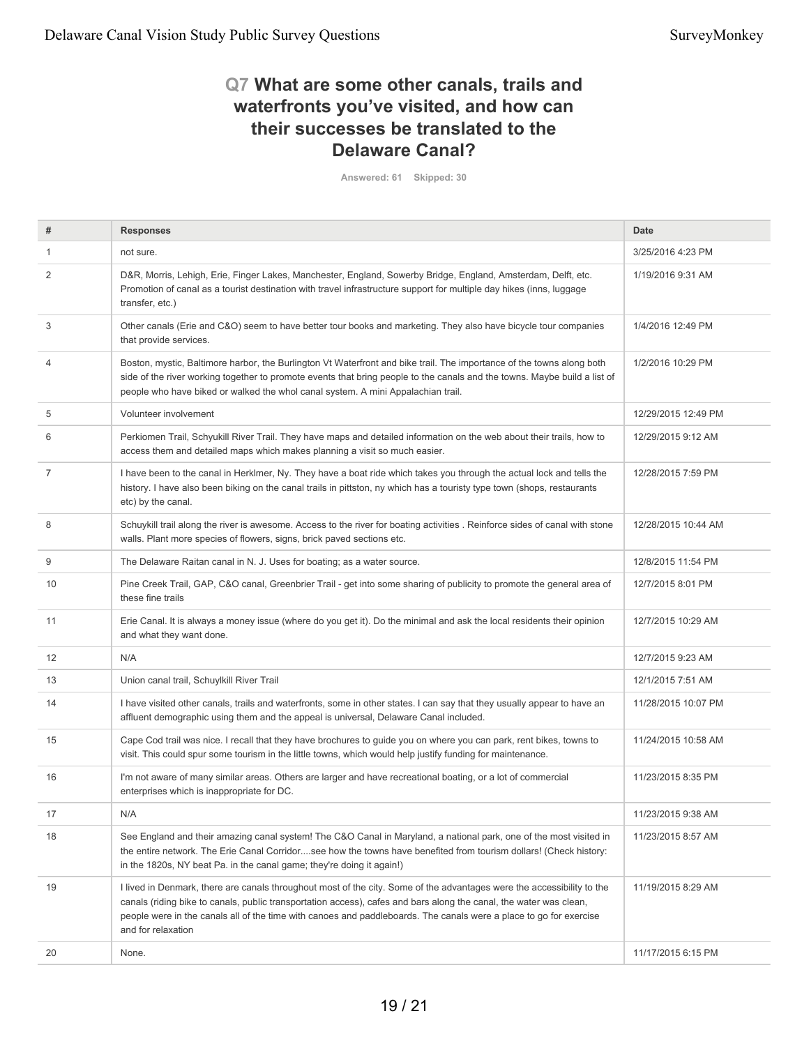## **Q7 What are some other canals, trails and waterfronts you've visited, and how can their successes be translated to the Delaware Canal?**

**Answered: 61 Skipped: 30**

| #              | <b>Responses</b>                                                                                                                                                                                                                                                                                                                                                                         | Date                |
|----------------|------------------------------------------------------------------------------------------------------------------------------------------------------------------------------------------------------------------------------------------------------------------------------------------------------------------------------------------------------------------------------------------|---------------------|
|                | not sure.                                                                                                                                                                                                                                                                                                                                                                                | 3/25/2016 4:23 PM   |
| 2              | D&R, Morris, Lehigh, Erie, Finger Lakes, Manchester, England, Sowerby Bridge, England, Amsterdam, Delft, etc.<br>Promotion of canal as a tourist destination with travel infrastructure support for multiple day hikes (inns, luggage<br>transfer, etc.)                                                                                                                                 | 1/19/2016 9:31 AM   |
| 3              | Other canals (Erie and C&O) seem to have better tour books and marketing. They also have bicycle tour companies<br>that provide services.                                                                                                                                                                                                                                                | 1/4/2016 12:49 PM   |
| $\overline{4}$ | Boston, mystic, Baltimore harbor, the Burlington Vt Waterfront and bike trail. The importance of the towns along both<br>side of the river working together to promote events that bring people to the canals and the towns. Maybe build a list of<br>people who have biked or walked the whol canal system. A mini Appalachian trail.                                                   | 1/2/2016 10:29 PM   |
| 5              | Volunteer involvement                                                                                                                                                                                                                                                                                                                                                                    | 12/29/2015 12:49 PM |
| 6              | Perkiomen Trail, Schyukill River Trail. They have maps and detailed information on the web about their trails, how to<br>access them and detailed maps which makes planning a visit so much easier.                                                                                                                                                                                      | 12/29/2015 9:12 AM  |
| $\overline{7}$ | I have been to the canal in HerkImer, Ny. They have a boat ride which takes you through the actual lock and tells the<br>history. I have also been biking on the canal trails in pittston, ny which has a touristy type town (shops, restaurants<br>etc) by the canal.                                                                                                                   | 12/28/2015 7:59 PM  |
| 8              | Schuykill trail along the river is awesome. Access to the river for boating activities . Reinforce sides of canal with stone<br>walls. Plant more species of flowers, signs, brick paved sections etc.                                                                                                                                                                                   | 12/28/2015 10:44 AM |
| 9              | The Delaware Raitan canal in N. J. Uses for boating; as a water source.                                                                                                                                                                                                                                                                                                                  | 12/8/2015 11:54 PM  |
| 10             | Pine Creek Trail, GAP, C&O canal, Greenbrier Trail - get into some sharing of publicity to promote the general area of<br>these fine trails                                                                                                                                                                                                                                              | 12/7/2015 8:01 PM   |
| 11             | Erie Canal. It is always a money issue (where do you get it). Do the minimal and ask the local residents their opinion<br>and what they want done.                                                                                                                                                                                                                                       | 12/7/2015 10:29 AM  |
| 12             | N/A                                                                                                                                                                                                                                                                                                                                                                                      | 12/7/2015 9:23 AM   |
| 13             | Union canal trail, Schuylkill River Trail                                                                                                                                                                                                                                                                                                                                                | 12/1/2015 7:51 AM   |
| 14             | I have visited other canals, trails and waterfronts, some in other states. I can say that they usually appear to have an<br>affluent demographic using them and the appeal is universal, Delaware Canal included.                                                                                                                                                                        | 11/28/2015 10:07 PM |
| 15             | Cape Cod trail was nice. I recall that they have brochures to guide you on where you can park, rent bikes, towns to<br>visit. This could spur some tourism in the little towns, which would help justify funding for maintenance.                                                                                                                                                        | 11/24/2015 10:58 AM |
| 16             | I'm not aware of many similar areas. Others are larger and have recreational boating, or a lot of commercial<br>enterprises which is inappropriate for DC.                                                                                                                                                                                                                               | 11/23/2015 8:35 PM  |
| 17             | N/A                                                                                                                                                                                                                                                                                                                                                                                      | 11/23/2015 9:38 AM  |
| 18             | See England and their amazing canal system! The C&O Canal in Maryland, a national park, one of the most visited in<br>the entire network. The Erie Canal Corridorsee how the towns have benefited from tourism dollars! (Check history:<br>in the 1820s, NY beat Pa. in the canal game; they're doing it again!)                                                                         | 11/23/2015 8:57 AM  |
| 19             | I lived in Denmark, there are canals throughout most of the city. Some of the advantages were the accessibility to the<br>canals (riding bike to canals, public transportation access), cafes and bars along the canal, the water was clean,<br>people were in the canals all of the time with canoes and paddleboards. The canals were a place to go for exercise<br>and for relaxation | 11/19/2015 8:29 AM  |
| 20             | None.                                                                                                                                                                                                                                                                                                                                                                                    | 11/17/2015 6:15 PM  |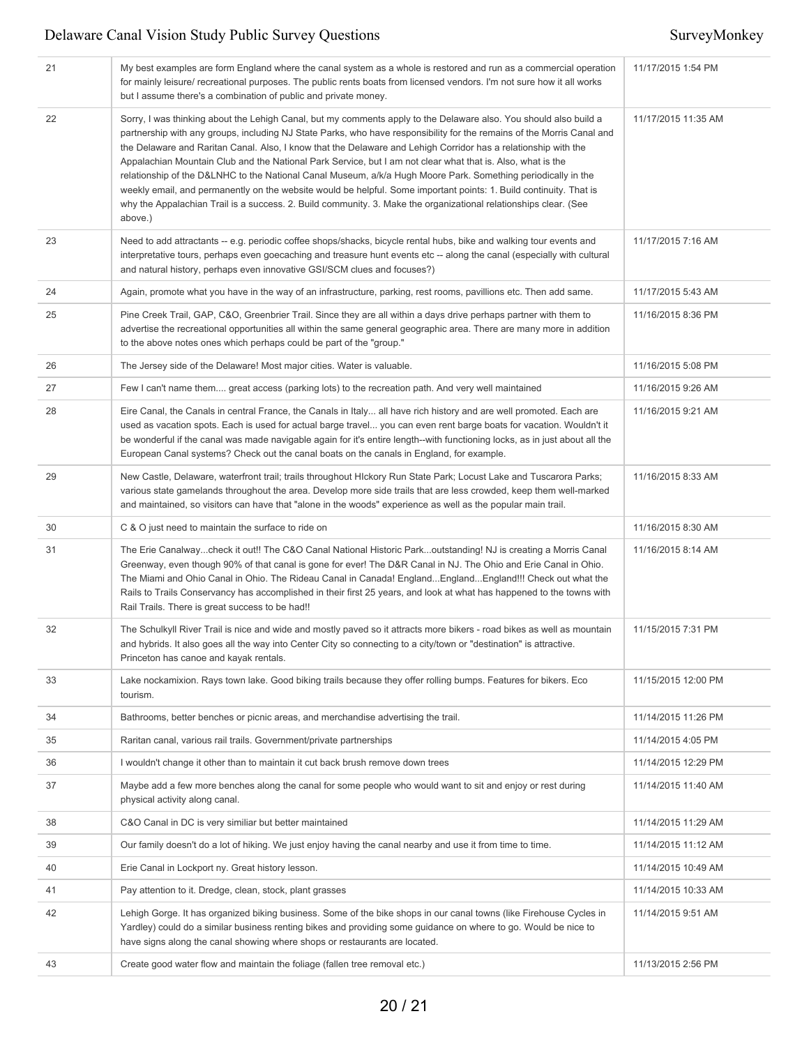| 21 | My best examples are form England where the canal system as a whole is restored and run as a commercial operation<br>for mainly leisure/ recreational purposes. The public rents boats from licensed vendors. I'm not sure how it all works<br>but I assume there's a combination of public and private money.                                                                                                                                                                                                                                                                                                                                                                                                                                                                                                                                     | 11/17/2015 1:54 PM  |
|----|----------------------------------------------------------------------------------------------------------------------------------------------------------------------------------------------------------------------------------------------------------------------------------------------------------------------------------------------------------------------------------------------------------------------------------------------------------------------------------------------------------------------------------------------------------------------------------------------------------------------------------------------------------------------------------------------------------------------------------------------------------------------------------------------------------------------------------------------------|---------------------|
| 22 | Sorry, I was thinking about the Lehigh Canal, but my comments apply to the Delaware also. You should also build a<br>partnership with any groups, including NJ State Parks, who have responsibility for the remains of the Morris Canal and<br>the Delaware and Raritan Canal. Also, I know that the Delaware and Lehigh Corridor has a relationship with the<br>Appalachian Mountain Club and the National Park Service, but I am not clear what that is. Also, what is the<br>relationship of the D&LNHC to the National Canal Museum, a/k/a Hugh Moore Park. Something periodically in the<br>weekly email, and permanently on the website would be helpful. Some important points: 1. Build continuity. That is<br>why the Appalachian Trail is a success. 2. Build community. 3. Make the organizational relationships clear. (See<br>above.) | 11/17/2015 11:35 AM |
| 23 | Need to add attractants -- e.g. periodic coffee shops/shacks, bicycle rental hubs, bike and walking tour events and<br>interpretative tours, perhaps even goecaching and treasure hunt events etc -- along the canal (especially with cultural<br>and natural history, perhaps even innovative GSI/SCM clues and focuses?)                                                                                                                                                                                                                                                                                                                                                                                                                                                                                                                         | 11/17/2015 7:16 AM  |
| 24 | Again, promote what you have in the way of an infrastructure, parking, rest rooms, pavillions etc. Then add same.                                                                                                                                                                                                                                                                                                                                                                                                                                                                                                                                                                                                                                                                                                                                  | 11/17/2015 5:43 AM  |
| 25 | Pine Creek Trail, GAP, C&O, Greenbrier Trail. Since they are all within a days drive perhaps partner with them to<br>advertise the recreational opportunities all within the same general geographic area. There are many more in addition<br>to the above notes ones which perhaps could be part of the "group."                                                                                                                                                                                                                                                                                                                                                                                                                                                                                                                                  | 11/16/2015 8:36 PM  |
| 26 | The Jersey side of the Delaware! Most major cities. Water is valuable.                                                                                                                                                                                                                                                                                                                                                                                                                                                                                                                                                                                                                                                                                                                                                                             | 11/16/2015 5:08 PM  |
| 27 | Few I can't name them great access (parking lots) to the recreation path. And very well maintained                                                                                                                                                                                                                                                                                                                                                                                                                                                                                                                                                                                                                                                                                                                                                 | 11/16/2015 9:26 AM  |
| 28 | Eire Canal, the Canals in central France, the Canals in Italy all have rich history and are well promoted. Each are<br>used as vacation spots. Each is used for actual barge travel you can even rent barge boats for vacation. Wouldn't it<br>be wonderful if the canal was made navigable again for it's entire length--with functioning locks, as in just about all the<br>European Canal systems? Check out the canal boats on the canals in England, for example.                                                                                                                                                                                                                                                                                                                                                                             | 11/16/2015 9:21 AM  |
| 29 | New Castle, Delaware, waterfront trail; trails throughout HIckory Run State Park; Locust Lake and Tuscarora Parks;<br>various state gamelands throughout the area. Develop more side trails that are less crowded, keep them well-marked<br>and maintained, so visitors can have that "alone in the woods" experience as well as the popular main trail.                                                                                                                                                                                                                                                                                                                                                                                                                                                                                           | 11/16/2015 8:33 AM  |
| 30 | C & O just need to maintain the surface to ride on                                                                                                                                                                                                                                                                                                                                                                                                                                                                                                                                                                                                                                                                                                                                                                                                 | 11/16/2015 8:30 AM  |
| 31 | The Erie Canalwaycheck it out!! The C&O Canal National Historic Parkoutstanding! NJ is creating a Morris Canal<br>Greenway, even though 90% of that canal is gone for ever! The D&R Canal in NJ. The Ohio and Erie Canal in Ohio.<br>The Miami and Ohio Canal in Ohio. The Rideau Canal in Canada! EnglandEnglandEngland!!! Check out what the<br>Rails to Trails Conservancy has accomplished in their first 25 years, and look at what has happened to the towns with<br>Rail Trails. There is great success to be had!!                                                                                                                                                                                                                                                                                                                         | 11/16/2015 8:14 AM  |
| 32 | The Schulkyll River Trail is nice and wide and mostly paved so it attracts more bikers - road bikes as well as mountain<br>and hybrids. It also goes all the way into Center City so connecting to a city/town or "destination" is attractive.<br>Princeton has canoe and kayak rentals.                                                                                                                                                                                                                                                                                                                                                                                                                                                                                                                                                           | 11/15/2015 7:31 PM  |
| 33 | Lake nockamixion. Rays town lake. Good biking trails because they offer rolling bumps. Features for bikers. Eco<br>tourism.                                                                                                                                                                                                                                                                                                                                                                                                                                                                                                                                                                                                                                                                                                                        | 11/15/2015 12:00 PM |
| 34 | Bathrooms, better benches or picnic areas, and merchandise advertising the trail.                                                                                                                                                                                                                                                                                                                                                                                                                                                                                                                                                                                                                                                                                                                                                                  | 11/14/2015 11:26 PM |
| 35 | Raritan canal, various rail trails. Government/private partnerships                                                                                                                                                                                                                                                                                                                                                                                                                                                                                                                                                                                                                                                                                                                                                                                | 11/14/2015 4:05 PM  |
| 36 | I wouldn't change it other than to maintain it cut back brush remove down trees                                                                                                                                                                                                                                                                                                                                                                                                                                                                                                                                                                                                                                                                                                                                                                    | 11/14/2015 12:29 PM |
| 37 | Maybe add a few more benches along the canal for some people who would want to sit and enjoy or rest during<br>physical activity along canal.                                                                                                                                                                                                                                                                                                                                                                                                                                                                                                                                                                                                                                                                                                      | 11/14/2015 11:40 AM |
| 38 | C&O Canal in DC is very similiar but better maintained                                                                                                                                                                                                                                                                                                                                                                                                                                                                                                                                                                                                                                                                                                                                                                                             | 11/14/2015 11:29 AM |
| 39 | Our family doesn't do a lot of hiking. We just enjoy having the canal nearby and use it from time to time.                                                                                                                                                                                                                                                                                                                                                                                                                                                                                                                                                                                                                                                                                                                                         | 11/14/2015 11:12 AM |
| 40 | Erie Canal in Lockport ny. Great history lesson.                                                                                                                                                                                                                                                                                                                                                                                                                                                                                                                                                                                                                                                                                                                                                                                                   | 11/14/2015 10:49 AM |
| 41 | Pay attention to it. Dredge, clean, stock, plant grasses                                                                                                                                                                                                                                                                                                                                                                                                                                                                                                                                                                                                                                                                                                                                                                                           | 11/14/2015 10:33 AM |
| 42 | Lehigh Gorge. It has organized biking business. Some of the bike shops in our canal towns (like Firehouse Cycles in<br>Yardley) could do a similar business renting bikes and providing some guidance on where to go. Would be nice to<br>have signs along the canal showing where shops or restaurants are located.                                                                                                                                                                                                                                                                                                                                                                                                                                                                                                                               | 11/14/2015 9:51 AM  |
| 43 | Create good water flow and maintain the foliage (fallen tree removal etc.)                                                                                                                                                                                                                                                                                                                                                                                                                                                                                                                                                                                                                                                                                                                                                                         | 11/13/2015 2:56 PM  |